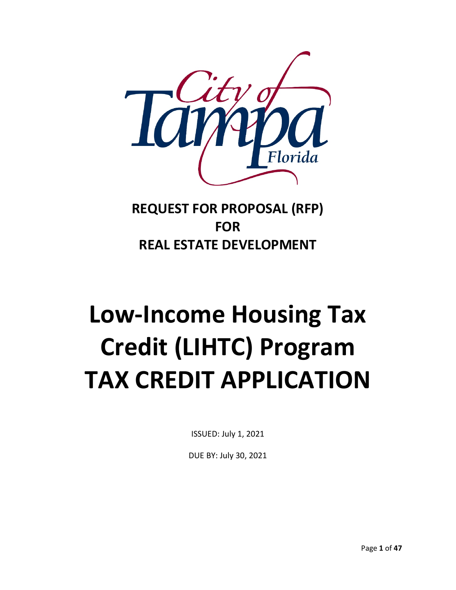

## **REQUEST FOR PROPOSAL (RFP) FOR REAL ESTATE DEVELOPMENT**

# **Low-Income Housing Tax Credit (LIHTC) Program TAX CREDIT APPLICATION**

ISSUED: July 1, 2021

DUE BY: July 30, 2021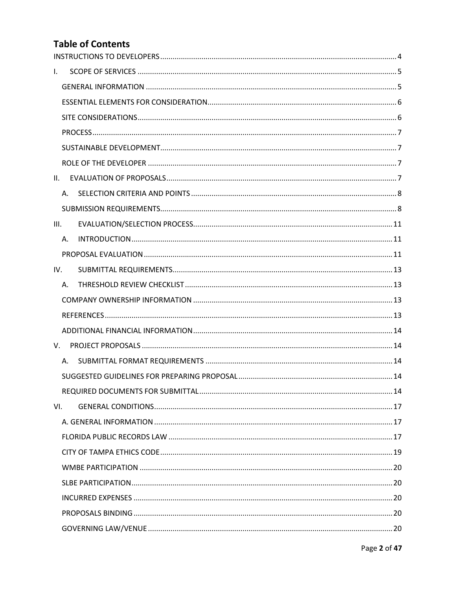## **Table of Contents**

| L.  |         |  |
|-----|---------|--|
|     |         |  |
|     |         |  |
|     |         |  |
|     |         |  |
|     |         |  |
|     |         |  |
| II. |         |  |
|     | $A_{1}$ |  |
|     |         |  |
| Ш.  |         |  |
|     | Α.      |  |
|     |         |  |
| IV. |         |  |
|     | Α.      |  |
|     |         |  |
|     |         |  |
|     |         |  |
| V.  |         |  |
|     |         |  |
|     |         |  |
|     |         |  |
| VI. |         |  |
|     |         |  |
|     |         |  |
|     |         |  |
|     |         |  |
|     |         |  |
|     |         |  |
|     |         |  |
|     |         |  |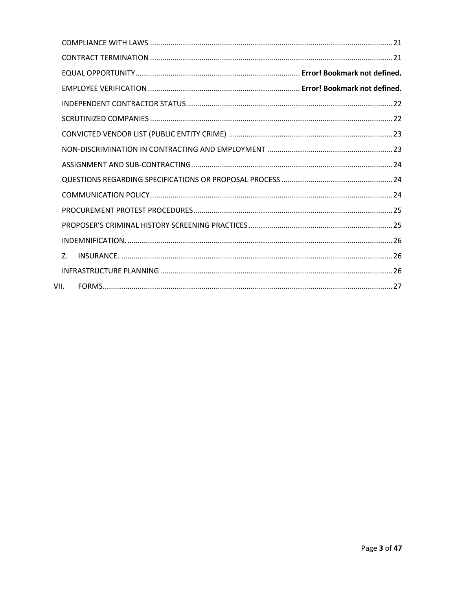| 7 <sup>2</sup> |  |
|----------------|--|
|                |  |
| VII.           |  |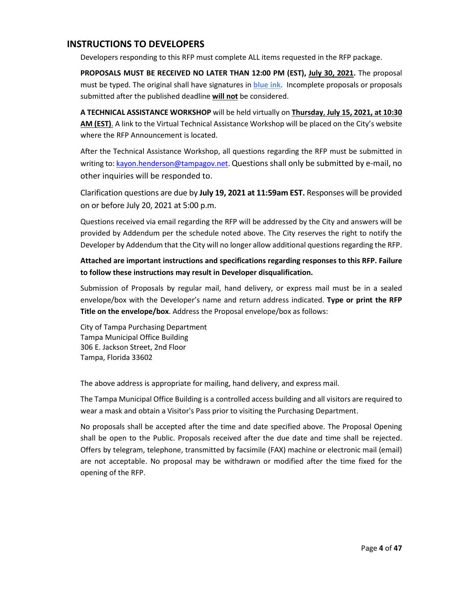## <span id="page-3-0"></span>**INSTRUCTIONS TO DEVELOPERS**

Developers responding to this RFP must complete ALL items requested in the RFP package.

PROPOSALS MUST BE RECEIVED NO LATER THAN 12:00 PM (EST), July 30, 2021. The proposal must be typed. The original shall have signatures in **blue ink**. Incomplete proposals or proposals submitted after the published deadline **will not** be considered.

**A TECHNICAL ASSISTANCE WORKSHOP** will be held virtually on **Thursday**, **July 15, 2021, at 10:30 AM (EST)**. A link to the Virtual Technical Assistance Workshop will be placed on the City's website where the RFP Announcement is located.

After the Technical Assistance Workshop, all questions regarding the RFP must be submitted in writing to[: kayon.henderson@tampagov.net.](mailto:kayon.henderson@tampagov.net) Questions shall only be submitted by e-mail, no other inquiries will be responded to.

Clarification questions are due by **July 19, 2021 at 11:59am EST.** Responses will be provided on or before July 20, 2021 at 5:00 p.m.

Questions received via email regarding the RFP will be addressed by the City and answers will be provided by Addendum per the schedule noted above. The City reserves the right to notify the Developer by Addendum that the City will no longer allow additional questions regarding the RFP.

**Attached are important instructions and specifications regarding responses to this RFP. Failure to follow these instructions may result in Developer disqualification.**

Submission of Proposals by regular mail, hand delivery, or express mail must be in a sealed envelope/box with the Developer's name and return address indicated. **Type or print the RFP Title on the envelope/box**. Address the Proposal envelope/box as follows:

City of Tampa Purchasing Department Tampa Municipal Office Building 306 E. Jackson Street, 2nd Floor Tampa, Florida 33602

The above address is appropriate for mailing, hand delivery, and express mail.

The Tampa Municipal Office Building is a controlled access building and all visitors are required to wear a mask and obtain a Visitor's Pass prior to visiting the Purchasing Department.

No proposals shall be accepted after the time and date specified above. The Proposal Opening shall be open to the Public. Proposals received after the due date and time shall be rejected. Offers by telegram, telephone, transmitted by facsimile (FAX) machine or electronic mail (email) are not acceptable. No proposal may be withdrawn or modified after the time fixed for the opening of the RFP.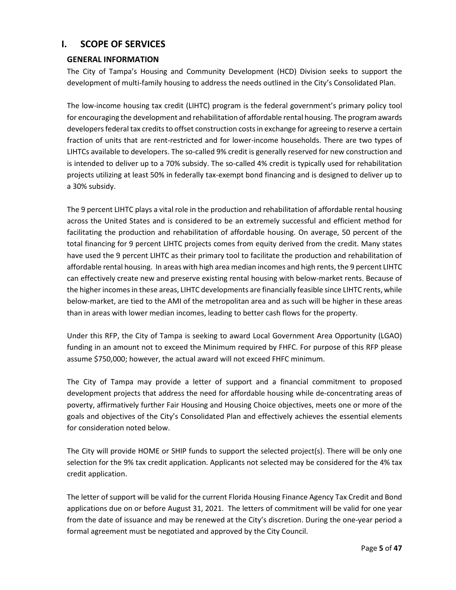## <span id="page-4-0"></span>**I. SCOPE OF SERVICES**

#### <span id="page-4-1"></span>**GENERAL INFORMATION**

The City of Tampa's Housing and Community Development (HCD) Division seeks to support the development of multi-family housing to address the needs outlined in the City's Consolidated Plan.

The low-income housing tax credit (LIHTC) program is the federal government's primary policy tool for encouraging the development and rehabilitation of affordable rental housing. The program awards developers federal tax credits to offset construction costs in exchange for agreeing to reserve a certain fraction of units that are rent-restricted and for lower-income households. There are two types of LIHTCs available to developers. The so-called 9% credit is generally reserved for new construction and is intended to deliver up to a 70% subsidy. The so-called 4% credit is typically used for rehabilitation projects utilizing at least 50% in federally tax-exempt bond financing and is designed to deliver up to a 30% subsidy.

The 9 percent LIHTC plays a vital role in the production and rehabilitation of affordable rental housing across the United States and is considered to be an extremely successful and efficient method for facilitating the production and rehabilitation of affordable housing. On average, 50 percent of the total financing for 9 percent LIHTC projects comes from equity derived from the credit. Many states have used the 9 percent LIHTC as their primary tool to facilitate the production and rehabilitation of affordable rental housing. In areas with high area median incomes and high rents, the 9 percent LIHTC can effectively create new and preserve existing rental housing with below-market rents. Because of the higher incomes in these areas, LIHTC developments are financially feasible since LIHTC rents, while below-market, are tied to the AMI of the metropolitan area and as such will be higher in these areas than in areas with lower median incomes, leading to better cash flows for the property.

Under this RFP, the City of Tampa is seeking to award Local Government Area Opportunity (LGAO) funding in an amount not to exceed the Minimum required by FHFC. For purpose of this RFP please assume \$750,000; however, the actual award will not exceed FHFC minimum.

The City of Tampa may provide a letter of support and a financial commitment to proposed development projects that address the need for affordable housing while de-concentrating areas of poverty, affirmatively further Fair Housing and Housing Choice objectives, meets one or more of the goals and objectives of the City's Consolidated Plan and effectively achieves the essential elements for consideration noted below.

The City will provide HOME or SHIP funds to support the selected project(s). There will be only one selection for the 9% tax credit application. Applicants not selected may be considered for the 4% tax credit application.

The letter of support will be valid for the current Florida Housing Finance Agency Tax Credit and Bond applications due on or before August 31, 2021. The letters of commitment will be valid for one year from the date of issuance and may be renewed at the City's discretion. During the one-year period a formal agreement must be negotiated and approved by the City Council.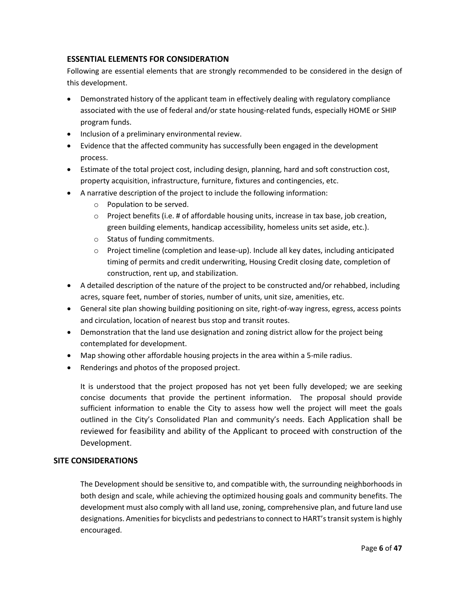#### <span id="page-5-0"></span>**ESSENTIAL ELEMENTS FOR CONSIDERATION**

Following are essential elements that are strongly recommended to be considered in the design of this development.

- Demonstrated history of the applicant team in effectively dealing with regulatory compliance associated with the use of federal and/or state housing-related funds, especially HOME or SHIP program funds.
- Inclusion of a preliminary environmental review.
- Evidence that the affected community has successfully been engaged in the development process.
- Estimate of the total project cost, including design, planning, hard and soft construction cost, property acquisition, infrastructure, furniture, fixtures and contingencies, etc.
- A narrative description of the project to include the following information:
	- o Population to be served.
	- $\circ$  Project benefits (i.e. # of affordable housing units, increase in tax base, job creation, green building elements, handicap accessibility, homeless units set aside, etc.).
	- o Status of funding commitments.
	- $\circ$  Project timeline (completion and lease-up). Include all key dates, including anticipated timing of permits and credit underwriting, Housing Credit closing date, completion of construction, rent up, and stabilization.
- A detailed description of the nature of the project to be constructed and/or rehabbed, including acres, square feet, number of stories, number of units, unit size, amenities, etc.
- General site plan showing building positioning on site, right-of-way ingress, egress, access points and circulation, location of nearest bus stop and transit routes.
- Demonstration that the land use designation and zoning district allow for the project being contemplated for development.
- Map showing other affordable housing projects in the area within a 5-mile radius.
- Renderings and photos of the proposed project.

It is understood that the project proposed has not yet been fully developed; we are seeking concise documents that provide the pertinent information. The proposal should provide sufficient information to enable the City to assess how well the project will meet the goals outlined in the City's Consolidated Plan and community's needs. Each Application shall be reviewed for feasibility and ability of the Applicant to proceed with construction of the Development.

#### <span id="page-5-1"></span>**SITE CONSIDERATIONS**

The Development should be sensitive to, and compatible with, the surrounding neighborhoods in both design and scale, while achieving the optimized housing goals and community benefits. The development must also comply with all land use, zoning, comprehensive plan, and future land use designations. Amenities for bicyclists and pedestrians to connect to HART's transit system is highly encouraged.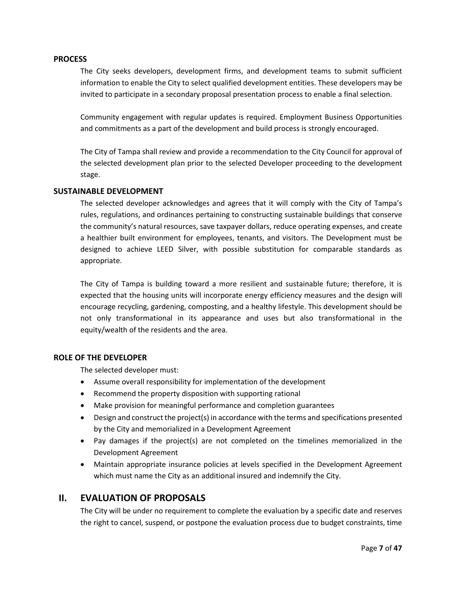#### <span id="page-6-0"></span>**PROCESS**

The City seeks developers, development firms, and development teams to submit sufficient information to enable the City to select qualified development entities. These developers may be invited to participate in a secondary proposal presentation process to enable a final selection.

Community engagement with regular updates is required. Employment Business Opportunities and commitments as a part of the development and build process is strongly encouraged.

The City of Tampa shall review and provide a recommendation to the City Council for approval of the selected development plan prior to the selected Developer proceeding to the development stage.

#### <span id="page-6-1"></span>**SUSTAINABLE DEVELOPMENT**

The selected developer acknowledges and agrees that it will comply with the City of Tampa's rules, regulations, and ordinances pertaining to constructing sustainable buildings that conserve the community's natural resources, save taxpayer dollars, reduce operating expenses, and create a healthier built environment for employees, tenants, and visitors. The Development must be designed to achieve LEED Silver, with possible substitution for comparable standards as appropriate.

The City of Tampa is building toward a more resilient and sustainable future; therefore, it is expected that the housing units will incorporate energy efficiency measures and the design will encourage recycling, gardening, composting, and a healthy lifestyle. This development should be not only transformational in its appearance and uses but also transformational in the equity/wealth of the residents and the area.

#### <span id="page-6-2"></span>**ROLE OF THE DEVELOPER**

The selected developer must:

- Assume overall responsibility for implementation of the development
- Recommend the property disposition with supporting rational
- Make provision for meaningful performance and completion guarantees
- Design and construct the project(s) in accordance with the terms and specifications presented by the City and memorialized in a Development Agreement
- Pay damages if the project(s) are not completed on the timelines memorialized in the Development Agreement
- Maintain appropriate insurance policies at levels specified in the Development Agreement which must name the City as an additional insured and indemnify the City.

#### <span id="page-6-3"></span>**II. EVALUATION OF PROPOSALS**

The City will be under no requirement to complete the evaluation by a specific date and reserves the right to cancel, suspend, or postpone the evaluation process due to budget constraints, time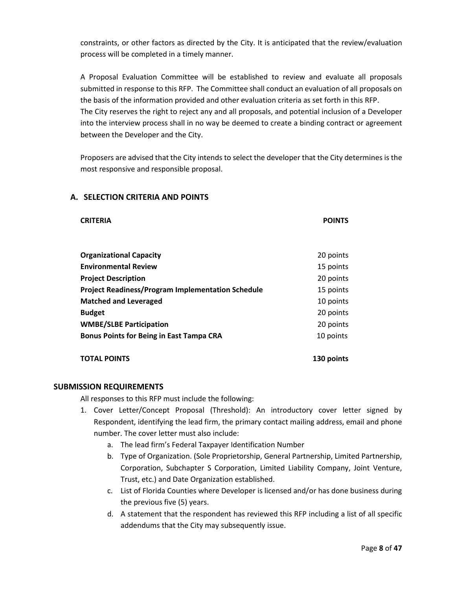constraints, or other factors as directed by the City. It is anticipated that the review/evaluation process will be completed in a timely manner.

A Proposal Evaluation Committee will be established to review and evaluate all proposals submitted in response to this RFP. The Committee shall conduct an evaluation of all proposals on the basis of the information provided and other evaluation criteria as set forth in this RFP. The City reserves the right to reject any and all proposals, and potential inclusion of a Developer into the interview process shall in no way be deemed to create a binding contract or agreement between the Developer and the City.

Proposers are advised that the City intends to select the developer that the City determines is the most responsive and responsible proposal.

#### <span id="page-7-0"></span>**A. SELECTION CRITERIA AND POINTS**

#### **CRITERIA POINTS**

**Organizational Capacity** 20 points **Environmental Review** 15 points **Project Description 1996 20 points Project Readiness/Program Implementation Schedule** 15 points **Matched and Leveraged** 20 points 20 points **Budget** 20 points **WMBE/SLBE Participation** 20 points **Bonus Points for Being in East Tampa CRA 10 points** 

**TOTAL POINTS 130 points**

#### <span id="page-7-1"></span>**SUBMISSION REQUIREMENTS**

All responses to this RFP must include the following:

- 1. Cover Letter/Concept Proposal (Threshold): An introductory cover letter signed by Respondent, identifying the lead firm, the primary contact mailing address, email and phone number. The cover letter must also include:
	- a. The lead firm's Federal Taxpayer Identification Number
	- b. Type of Organization. (Sole Proprietorship, General Partnership, Limited Partnership, Corporation, Subchapter S Corporation, Limited Liability Company, Joint Venture, Trust, etc.) and Date Organization established.
	- c. List of Florida Counties where Developer is licensed and/or has done business during the previous five (5) years.
	- d. A statement that the respondent has reviewed this RFP including a list of all specific addendums that the City may subsequently issue.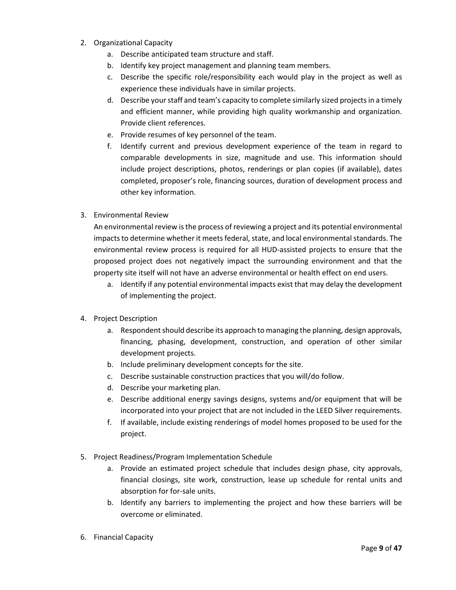- 2. Organizational Capacity
	- a. Describe anticipated team structure and staff.
	- b. Identify key project management and planning team members.
	- c. Describe the specific role/responsibility each would play in the project as well as experience these individuals have in similar projects.
	- d. Describe your staff and team's capacity to complete similarly sized projects in a timely and efficient manner, while providing high quality workmanship and organization. Provide client references.
	- e. Provide resumes of key personnel of the team.
	- f. Identify current and previous development experience of the team in regard to comparable developments in size, magnitude and use. This information should include project descriptions, photos, renderings or plan copies (if available), dates completed, proposer's role, financing sources, duration of development process and other key information.
- 3. Environmental Review

An environmental review is the process of reviewing a project and its potential environmental impacts to determine whether it meets federal, state, and local environmental standards. The environmental review process is required for all HUD-assisted projects to ensure that the proposed project does not negatively impact the surrounding environment and that the property site itself will not have an adverse environmental or health effect on end users.

- a. Identify if any potential environmental impacts exist that may delay the development of implementing the project.
- 4. Project Description
	- a. Respondent should describe its approach to managing the planning, design approvals, financing, phasing, development, construction, and operation of other similar development projects.
	- b. Include preliminary development concepts for the site.
	- c. Describe sustainable construction practices that you will/do follow.
	- d. Describe your marketing plan.
	- e. Describe additional energy savings designs, systems and/or equipment that will be incorporated into your project that are not included in the LEED Silver requirements.
	- f. If available, include existing renderings of model homes proposed to be used for the project.
- 5. Project Readiness/Program Implementation Schedule
	- a. Provide an estimated project schedule that includes design phase, city approvals, financial closings, site work, construction, lease up schedule for rental units and absorption for for-sale units.
	- b. Identify any barriers to implementing the project and how these barriers will be overcome or eliminated.
- 6. Financial Capacity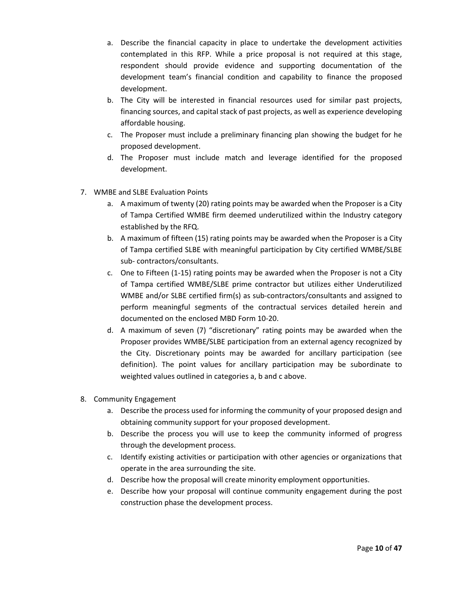- a. Describe the financial capacity in place to undertake the development activities contemplated in this RFP. While a price proposal is not required at this stage, respondent should provide evidence and supporting documentation of the development team's financial condition and capability to finance the proposed development.
- b. The City will be interested in financial resources used for similar past projects, financing sources, and capital stack of past projects, as well as experience developing affordable housing.
- c. The Proposer must include a preliminary financing plan showing the budget for he proposed development.
- d. The Proposer must include match and leverage identified for the proposed development.
- 7. WMBE and SLBE Evaluation Points
	- a. A maximum of twenty (20) rating points may be awarded when the Proposer is a City of Tampa Certified WMBE firm deemed underutilized within the Industry category established by the RFQ.
	- b. A maximum of fifteen (15) rating points may be awarded when the Proposer is a City of Tampa certified SLBE with meaningful participation by City certified WMBE/SLBE sub- contractors/consultants.
	- c. One to Fifteen (1-15) rating points may be awarded when the Proposer is not a City of Tampa certified WMBE/SLBE prime contractor but utilizes either Underutilized WMBE and/or SLBE certified firm(s) as sub-contractors/consultants and assigned to perform meaningful segments of the contractual services detailed herein and documented on the enclosed MBD Form 10-20.
	- d. A maximum of seven (7) "discretionary" rating points may be awarded when the Proposer provides WMBE/SLBE participation from an external agency recognized by the City. Discretionary points may be awarded for ancillary participation (see definition). The point values for ancillary participation may be subordinate to weighted values outlined in categories a, b and c above.
- 8. Community Engagement
	- a. Describe the process used for informing the community of your proposed design and obtaining community support for your proposed development.
	- b. Describe the process you will use to keep the community informed of progress through the development process.
	- c. Identify existing activities or participation with other agencies or organizations that operate in the area surrounding the site.
	- d. Describe how the proposal will create minority employment opportunities.
	- e. Describe how your proposal will continue community engagement during the post construction phase the development process.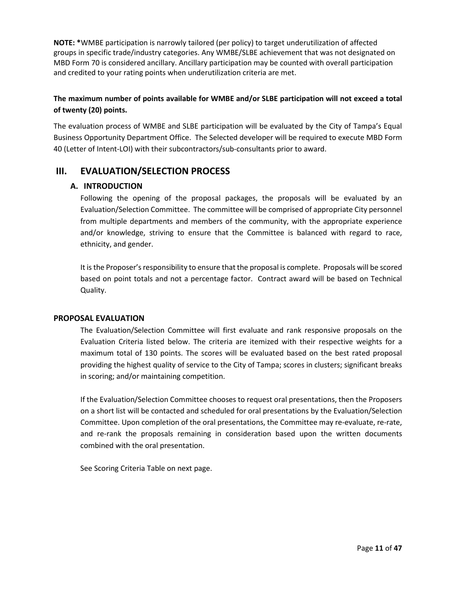**NOTE: \***WMBE participation is narrowly tailored (per policy) to target underutilization of affected groups in specific trade/industry categories. Any WMBE/SLBE achievement that was not designated on MBD Form 70 is considered ancillary. Ancillary participation may be counted with overall participation and credited to your rating points when underutilization criteria are met.

## **The maximum number of points available for WMBE and/or SLBE participation will not exceed a total of twenty (20) points.**

The evaluation process of WMBE and SLBE participation will be evaluated by the City of Tampa's Equal Business Opportunity Department Office. The Selected developer will be required to execute MBD Form 40 (Letter of Intent-LOI) with their subcontractors/sub-consultants prior to award.

## <span id="page-10-1"></span><span id="page-10-0"></span>**III. EVALUATION/SELECTION PROCESS**

#### **A. INTRODUCTION**

Following the opening of the proposal packages, the proposals will be evaluated by an Evaluation/Selection Committee. The committee will be comprised of appropriate City personnel from multiple departments and members of the community, with the appropriate experience and/or knowledge, striving to ensure that the Committee is balanced with regard to race, ethnicity, and gender.

It is the Proposer's responsibility to ensure that the proposal is complete. Proposals will be scored based on point totals and not a percentage factor. Contract award will be based on Technical Quality.

#### <span id="page-10-2"></span>**PROPOSAL EVALUATION**

The Evaluation/Selection Committee will first evaluate and rank responsive proposals on the Evaluation Criteria listed below. The criteria are itemized with their respective weights for a maximum total of 130 points. The scores will be evaluated based on the best rated proposal providing the highest quality of service to the City of Tampa; scores in clusters; significant breaks in scoring; and/or maintaining competition.

If the Evaluation/Selection Committee chooses to request oral presentations, then the Proposers on a short list will be contacted and scheduled for oral presentations by the Evaluation/Selection Committee. Upon completion of the oral presentations, the Committee may re-evaluate, re-rate, and re-rank the proposals remaining in consideration based upon the written documents combined with the oral presentation.

See Scoring Criteria Table on next page.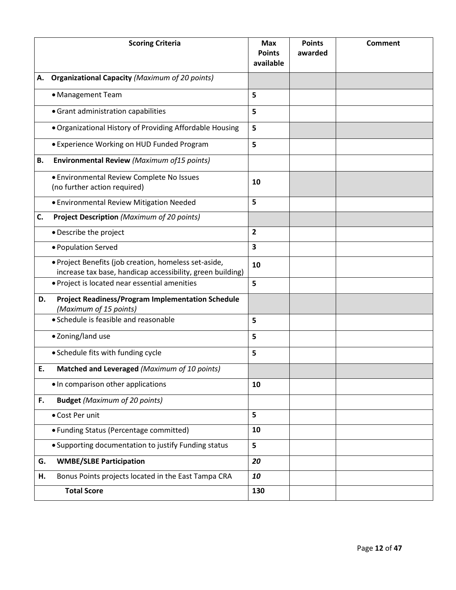|    | <b>Scoring Criteria</b>                                                                                             | <b>Max</b><br><b>Points</b><br>available | <b>Points</b><br>awarded | <b>Comment</b> |
|----|---------------------------------------------------------------------------------------------------------------------|------------------------------------------|--------------------------|----------------|
| А. | <b>Organizational Capacity (Maximum of 20 points)</b>                                                               |                                          |                          |                |
|    | • Management Team                                                                                                   | 5                                        |                          |                |
|    | • Grant administration capabilities                                                                                 | 5                                        |                          |                |
|    | • Organizational History of Providing Affordable Housing                                                            | 5                                        |                          |                |
|    | • Experience Working on HUD Funded Program                                                                          | 5                                        |                          |                |
| В. | Environmental Review (Maximum of 15 points)                                                                         |                                          |                          |                |
|    | • Environmental Review Complete No Issues<br>(no further action required)                                           | 10                                       |                          |                |
|    | · Environmental Review Mitigation Needed                                                                            | 5                                        |                          |                |
| C. | <b>Project Description (Maximum of 20 points)</b>                                                                   |                                          |                          |                |
|    | • Describe the project                                                                                              | $\overline{2}$                           |                          |                |
|    | · Population Served                                                                                                 | 3                                        |                          |                |
|    | · Project Benefits (job creation, homeless set-aside,<br>increase tax base, handicap accessibility, green building) | 10                                       |                          |                |
|    | · Project is located near essential amenities                                                                       | 5                                        |                          |                |
| D. | <b>Project Readiness/Program Implementation Schedule</b><br>(Maximum of 15 points)                                  |                                          |                          |                |
|    | • Schedule is feasible and reasonable                                                                               | 5                                        |                          |                |
|    | · Zoning/land use                                                                                                   | 5                                        |                          |                |
|    | • Schedule fits with funding cycle                                                                                  | 5                                        |                          |                |
| E  | Matched and Leveraged (Maximum of 10 points)                                                                        |                                          |                          |                |
|    | • In comparison other applications                                                                                  | 10                                       |                          |                |
| F. | <b>Budget (Maximum of 20 points)</b>                                                                                |                                          |                          |                |
|    | • Cost Per unit                                                                                                     | 5                                        |                          |                |
|    | • Funding Status (Percentage committed)                                                                             | 10                                       |                          |                |
|    | • Supporting documentation to justify Funding status                                                                | 5                                        |                          |                |
| G. | <b>WMBE/SLBE Participation</b>                                                                                      | 20                                       |                          |                |
| Н. | Bonus Points projects located in the East Tampa CRA                                                                 | 10                                       |                          |                |
|    | <b>Total Score</b>                                                                                                  | 130                                      |                          |                |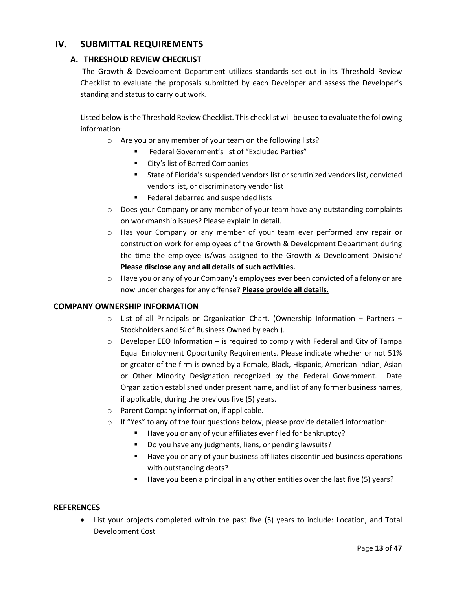## <span id="page-12-1"></span><span id="page-12-0"></span>**IV. SUBMITTAL REQUIREMENTS**

#### **A. THRESHOLD REVIEW CHECKLIST**

The Growth & Development Department utilizes standards set out in its Threshold Review Checklist to evaluate the proposals submitted by each Developer and assess the Developer's standing and status to carry out work.

Listed below is the Threshold Review Checklist. This checklist will be used to evaluate the following information:

- o Are you or any member of your team on the following lists?
	- Federal Government's list of "Excluded Parties"
	- City's list of Barred Companies
	- State of Florida's suspended vendors list or scrutinized vendors list, convicted vendors list, or discriminatory vendor list
	- Federal debarred and suspended lists
- $\circ$  Does your Company or any member of your team have any outstanding complaints on workmanship issues? Please explain in detail.
- o Has your Company or any member of your team ever performed any repair or construction work for employees of the Growth & Development Department during the time the employee is/was assigned to the Growth & Development Division? **Please disclose any and all details of such activities.**
- $\circ$  Have you or any of your Company's employees ever been convicted of a felony or are now under charges for any offense? **Please provide all details.**

#### <span id="page-12-2"></span>**COMPANY OWNERSHIP INFORMATION**

- $\circ$  List of all Principals or Organization Chart. (Ownership Information Partners Stockholders and % of Business Owned by each.).
- $\circ$  Developer EEO Information is required to comply with Federal and City of Tampa Equal Employment Opportunity Requirements. Please indicate whether or not 51% or greater of the firm is owned by a Female, Black, Hispanic, American Indian, Asian or Other Minority Designation recognized by the Federal Government. Date Organization established under present name, and list of any former business names, if applicable, during the previous five (5) years.
- o Parent Company information, if applicable.
- $\circ$  If "Yes" to any of the four questions below, please provide detailed information:
	- Have you or any of your affiliates ever filed for bankruptcy?
	- Do you have any judgments, liens, or pending lawsuits?
	- Have you or any of your business affiliates discontinued business operations with outstanding debts?
	- Have you been a principal in any other entities over the last five (5) years?

#### <span id="page-12-3"></span>**REFERENCES**

• List your projects completed within the past five (5) years to include: Location, and Total Development Cost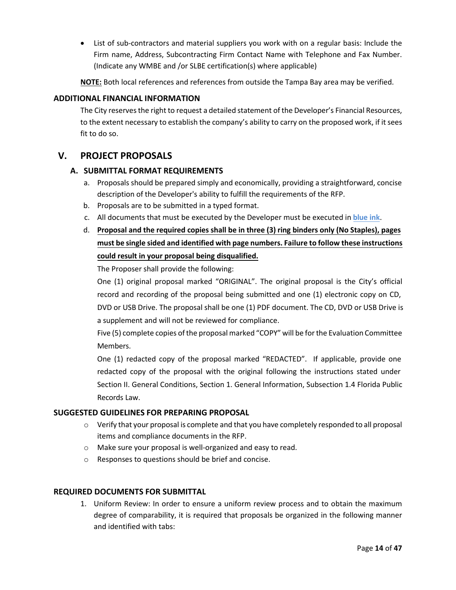• List of sub-contractors and material suppliers you work with on a regular basis: Include the Firm name, Address, Subcontracting Firm Contact Name with Telephone and Fax Number. (Indicate any WMBE and /or SLBE certification(s) where applicable)

**NOTE:** Both local references and references from outside the Tampa Bay area may be verified.

#### <span id="page-13-0"></span>**ADDITIONAL FINANCIAL INFORMATION**

The City reserves the right to request a detailed statement of the Developer's Financial Resources, to the extent necessary to establish the company's ability to carry on the proposed work, if it sees fit to do so.

## <span id="page-13-2"></span><span id="page-13-1"></span>**V. PROJECT PROPOSALS**

#### **A. SUBMITTAL FORMAT REQUIREMENTS**

- a. Proposals should be prepared simply and economically, providing a straightforward, concise description of the Developer's ability to fulfill the requirements of the RFP.
- b. Proposals are to be submitted in a typed format.
- c. All documents that must be executed by the Developer must be executed in **blue ink**.
- d. **Proposal and the required copies shall be in three (3) ring binders only (No Staples), pages must be single sided and identified with page numbers. Failure to follow these instructions could result in your proposal being disqualified.**

The Proposer shall provide the following:

One (1) original proposal marked "ORIGINAL". The original proposal is the City's official record and recording of the proposal being submitted and one (1) electronic copy on CD, DVD or USB Drive. The proposal shall be one (1) PDF document. The CD, DVD or USB Drive is a supplement and will not be reviewed for compliance.

Five (5) complete copies of the proposal marked "COPY" will be for the Evaluation Committee Members.

One (1) redacted copy of the proposal marked "REDACTED". If applicable, provide one redacted copy of the proposal with the original following the instructions stated under Section II. General Conditions, Section 1. General Information, Subsection 1.4 Florida Public Records Law.

#### <span id="page-13-3"></span>**SUGGESTED GUIDELINES FOR PREPARING PROPOSAL**

- $\circ$  Verify that your proposal is complete and that you have completely responded to all proposal items and compliance documents in the RFP.
- o Make sure your proposal is well-organized and easy to read.
- o Responses to questions should be brief and concise.

#### <span id="page-13-4"></span>**REQUIRED DOCUMENTS FOR SUBMITTAL**

1. Uniform Review: In order to ensure a uniform review process and to obtain the maximum degree of comparability, it is required that proposals be organized in the following manner and identified with tabs: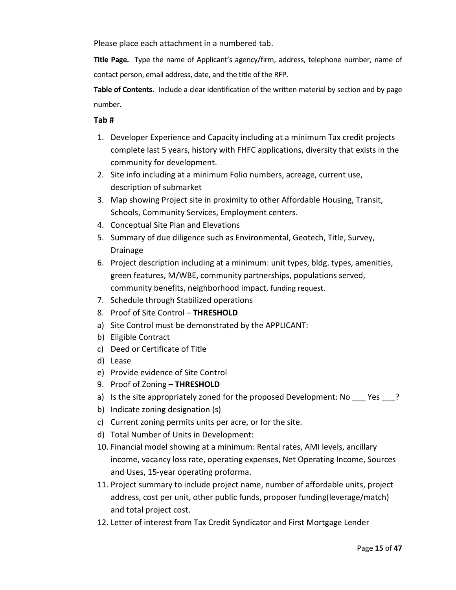Please place each attachment in a numbered tab.

**Title Page.** Type the name of Applicant's agency/firm, address, telephone number, name of contact person, email address, date, and the title of the RFP.

**Table of Contents.** Include a clear identification of the written material by section and by page number.

#### **Tab #**

- 1. Developer Experience and Capacity including at a minimum Tax credit projects complete last 5 years, history with FHFC applications, diversity that exists in the community for development.
- 2. Site info including at a minimum Folio numbers, acreage, current use, description of submarket
- 3. Map showing Project site in proximity to other Affordable Housing, Transit, Schools, Community Services, Employment centers.
- 4. Conceptual Site Plan and Elevations
- 5. Summary of due diligence such as Environmental, Geotech, Title, Survey, Drainage
- 6. Project description including at a minimum: unit types, bldg. types, amenities, green features, M/WBE, community partnerships, populations served, community benefits, neighborhood impact, funding request.
- 7. Schedule through Stabilized operations
- 8. Proof of Site Control **THRESHOLD**
- a) Site Control must be demonstrated by the APPLICANT:
- b) Eligible Contract
- c) Deed or Certificate of Title
- d) Lease
- e) Provide evidence of Site Control
- 9. Proof of Zoning **THRESHOLD**
- a) Is the site appropriately zoned for the proposed Development: No \_\_\_ Yes \_\_\_?
- b) Indicate zoning designation (s)
- c) Current zoning permits units per acre, or for the site.
- d) Total Number of Units in Development:
- 10. Financial model showing at a minimum: Rental rates, AMI levels, ancillary income, vacancy loss rate, operating expenses, Net Operating Income, Sources and Uses, 15-year operating proforma.
- 11. Project summary to include project name, number of affordable units, project address, cost per unit, other public funds, proposer funding(leverage/match) and total project cost.
- 12. Letter of interest from Tax Credit Syndicator and First Mortgage Lender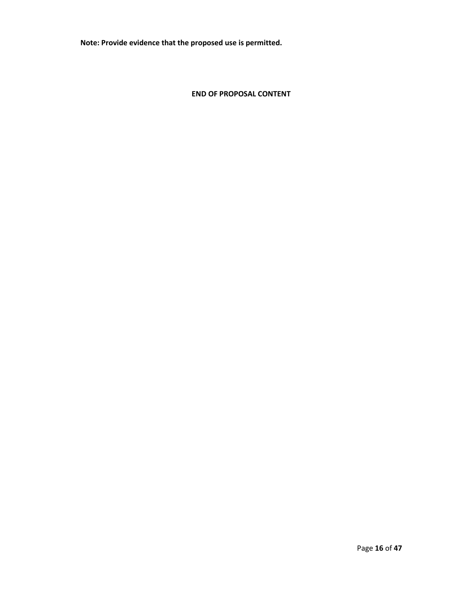**Note: Provide evidence that the proposed use is permitted.**

**END OF PROPOSAL CONTENT**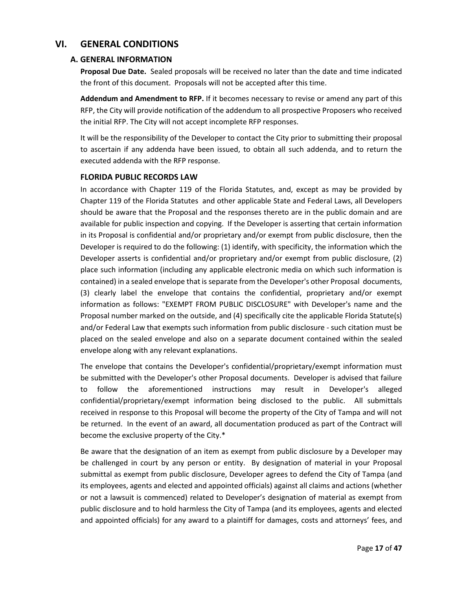## <span id="page-16-1"></span><span id="page-16-0"></span>**VI. GENERAL CONDITIONS**

#### **A. GENERAL INFORMATION**

**Proposal Due Date.** Sealed proposals will be received no later than the date and time indicated the front of this document. Proposals will not be accepted after this time.

**Addendum and Amendment to RFP.** If it becomes necessary to revise or amend any part of this RFP, the City will provide notification of the addendum to all prospective Proposers who received the initial RFP. The City will not accept incomplete RFP responses.

It will be the responsibility of the Developer to contact the City prior to submitting their proposal to ascertain if any addenda have been issued, to obtain all such addenda, and to return the executed addenda with the RFP response.

#### <span id="page-16-2"></span>**FLORIDA PUBLIC RECORDS LAW**

In accordance with Chapter 119 of the Florida Statutes, and, except as may be provided by Chapter 119 of the Florida Statutes and other applicable State and Federal Laws, all Developers should be aware that the Proposal and the responses thereto are in the public domain and are available for public inspection and copying. If the Developer is asserting that certain information in its Proposal is confidential and/or proprietary and/or exempt from public disclosure, then the Developer is required to do the following: (1) identify, with specificity, the information which the Developer asserts is confidential and/or proprietary and/or exempt from public disclosure, (2) place such information (including any applicable electronic media on which such information is contained) in a sealed envelope that is separate from the Developer's other Proposal documents, (3) clearly label the envelope that contains the confidential, proprietary and/or exempt information as follows: "EXEMPT FROM PUBLIC DISCLOSURE" with Developer's name and the Proposal number marked on the outside, and (4) specifically cite the applicable Florida Statute(s) and/or Federal Law that exempts such information from public disclosure - such citation must be placed on the sealed envelope and also on a separate document contained within the sealed envelope along with any relevant explanations.

The envelope that contains the Developer's confidential/proprietary/exempt information must be submitted with the Developer's other Proposal documents. Developer is advised that failure to follow the aforementioned instructions may result in Developer's alleged confidential/proprietary/exempt information being disclosed to the public. All submittals received in response to this Proposal will become the property of the City of Tampa and will not be returned. In the event of an award, all documentation produced as part of the Contract will become the exclusive property of the City.\*

Be aware that the designation of an item as exempt from public disclosure by a Developer may be challenged in court by any person or entity. By designation of material in your Proposal submittal as exempt from public disclosure, Developer agrees to defend the City of Tampa (and its employees, agents and elected and appointed officials) against all claims and actions (whether or not a lawsuit is commenced) related to Developer's designation of material as exempt from public disclosure and to hold harmless the City of Tampa (and its employees, agents and elected and appointed officials) for any award to a plaintiff for damages, costs and attorneys' fees, and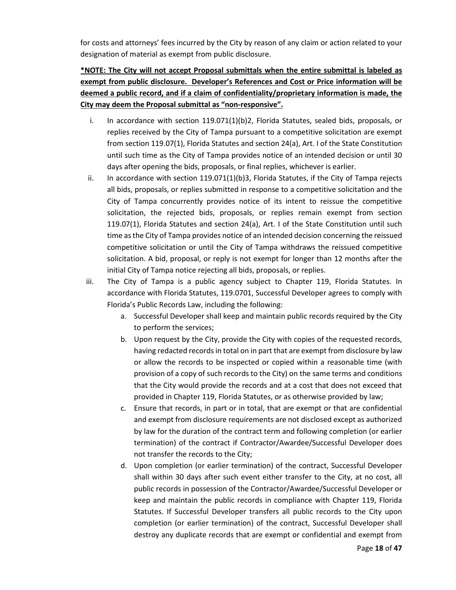for costs and attorneys' fees incurred by the City by reason of any claim or action related to your designation of material as exempt from public disclosure.

## **\*NOTE: The City will not accept Proposal submittals when the entire submittal is labeled as exempt from public disclosure. Developer's References and Cost or Price information will be deemed a public record, and if a claim of confidentiality/proprietary information is made, the City may deem the Proposal submittal as "non-responsive".**

- i. In accordance with section 119.071(1)(b)2, Florida Statutes, sealed bids, proposals, or replies received by the City of Tampa pursuant to a competitive solicitation are exempt from section 119.07(1), Florida Statutes and section 24(a), Art. I of the State Constitution until such time as the City of Tampa provides notice of an intended decision or until 30 days after opening the bids, proposals, or final replies, whichever is earlier.
- ii. In accordance with section  $119.071(1)(b)3$ , Florida Statutes, if the City of Tampa rejects all bids, proposals, or replies submitted in response to a competitive solicitation and the City of Tampa concurrently provides notice of its intent to reissue the competitive solicitation, the rejected bids, proposals, or replies remain exempt from section 119.07(1), Florida Statutes and section 24(a), Art. I of the State Constitution until such time as the City of Tampa provides notice of an intended decision concerning the reissued competitive solicitation or until the City of Tampa withdraws the reissued competitive solicitation. A bid, proposal, or reply is not exempt for longer than 12 months after the initial City of Tampa notice rejecting all bids, proposals, or replies.
- iii. The City of Tampa is a public agency subject to Chapter 119, Florida Statutes. In accordance with Florida Statutes, 119.0701, Successful Developer agrees to comply with Florida's Public Records Law, including the following:
	- a. Successful Developer shall keep and maintain public records required by the City to perform the services;
	- b. Upon request by the City, provide the City with copies of the requested records, having redacted records in total on in part that are exempt from disclosure by law or allow the records to be inspected or copied within a reasonable time (with provision of a copy of such records to the City) on the same terms and conditions that the City would provide the records and at a cost that does not exceed that provided in Chapter 119, Florida Statutes, or as otherwise provided by law;
	- c. Ensure that records, in part or in total, that are exempt or that are confidential and exempt from disclosure requirements are not disclosed except as authorized by law for the duration of the contract term and following completion (or earlier termination) of the contract if Contractor/Awardee/Successful Developer does not transfer the records to the City;
	- d. Upon completion (or earlier termination) of the contract, Successful Developer shall within 30 days after such event either transfer to the City, at no cost, all public records in possession of the Contractor/Awardee/Successful Developer or keep and maintain the public records in compliance with Chapter 119, Florida Statutes. If Successful Developer transfers all public records to the City upon completion (or earlier termination) of the contract, Successful Developer shall destroy any duplicate records that are exempt or confidential and exempt from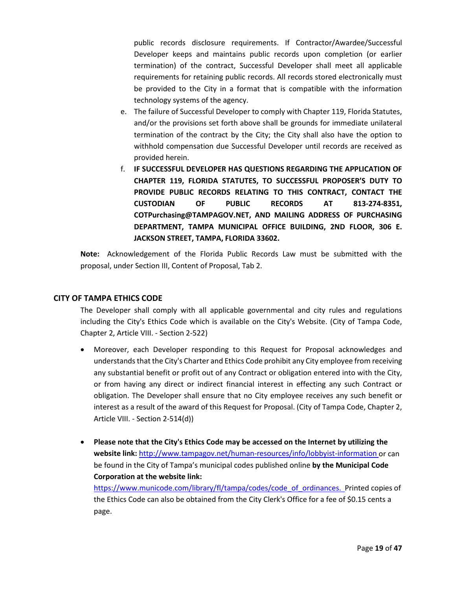public records disclosure requirements. If Contractor/Awardee/Successful Developer keeps and maintains public records upon completion (or earlier termination) of the contract, Successful Developer shall meet all applicable requirements for retaining public records. All records stored electronically must be provided to the City in a format that is compatible with the information technology systems of the agency.

- e. The failure of Successful Developer to comply with Chapter 119, Florida Statutes, and/or the provisions set forth above shall be grounds for immediate unilateral termination of the contract by the City; the City shall also have the option to withhold compensation due Successful Developer until records are received as provided herein.
- f. **IF SUCCESSFUL DEVELOPER HAS QUESTIONS REGARDING THE APPLICATION OF CHAPTER 119, FLORIDA STATUTES, TO SUCCESSFUL PROPOSER'S DUTY TO PROVIDE PUBLIC RECORDS RELATING TO THIS CONTRACT, CONTACT THE CUSTODIAN OF PUBLIC RECORDS AT 813-274-8351, COTPurchasing@TAMPAGOV.NET, AND MAILING ADDRESS OF PURCHASING DEPARTMENT, TAMPA MUNICIPAL OFFICE BUILDING, 2ND FLOOR, 306 E. JACKSON STREET, TAMPA, FLORIDA 33602.**

**Note:** Acknowledgement of the Florida Public Records Law must be submitted with the proposal, under Section III, Content of Proposal, Tab 2.

#### <span id="page-18-0"></span>**CITY OF TAMPA ETHICS CODE**

The Developer shall comply with all applicable governmental and city rules and regulations including the City's Ethics Code which is available on the City's Website. (City of Tampa Code, Chapter 2, Article VIII. - Section 2-522)

- Moreover, each Developer responding to this Request for Proposal acknowledges and understands that the City's Charter and Ethics Code prohibit any City employee from receiving any substantial benefit or profit out of any Contract or obligation entered into with the City, or from having any direct or indirect financial interest in effecting any such Contract or obligation. The Developer shall ensure that no City employee receives any such benefit or interest as a result of the award of this Request for Proposal. (City of Tampa Code, Chapter 2, Article VIII. - Section 2-514(d))
- **Please note that the City's Ethics Code may be accessed on the Internet by utilizing the website link:** <http://www.tampagov.net/human-resources/info/lobbyist-information> or can be found in the City of Tampa's municipal codes published online **by the Municipal Code Corporation at the website link:**

[https://www.municode.com/library/fl/tampa/codes/code\\_of\\_ordinances.](https://www.municode.com/library/fl/tampa/codes/code_of_ordinances) Printed copies of the Ethics Code can also be obtained from the City Clerk's Office for a fee of \$0.15 cents a page.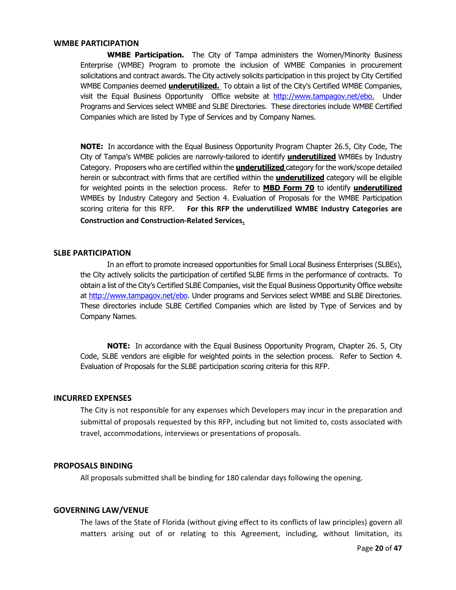#### <span id="page-19-0"></span>**WMBE PARTICIPATION**

**WMBE Participation.** The City of Tampa administers the Women/Minority Business Enterprise (WMBE) Program to promote the inclusion of WMBE Companies in procurement solicitations and contract awards. The City actively solicits participation in this project by City Certified WMBE Companies deemed **underutilized.** To obtain a list of the City's Certified WMBE Companies, visit the Equal Business Opportunity Office website at [http://www.tampagov.net/ebo.](http://www.tampagov.net/ebo) Under Programs and Services select WMBE and SLBE Directories. These directories include WMBE Certified Companies which are listed by Type of Services and by Company Names.

**NOTE:** In accordance with the Equal Business Opportunity Program Chapter 26.5, City Code, The City of Tampa's WMBE policies are narrowly-tailored to identify **underutilized** WMBEs by Industry Category. Proposers who are certified within the **underutilized** category for the work/scope detailed herein or subcontract with firms that are certified within the **underutilized** category will be eligible for weighted points in the selection process. Refer to **MBD Form 70** to identify **underutilized** WMBEs by Industry Category and Section 4. Evaluation of Proposals for the WMBE Participation scoring criteria for this RFP. **For this RFP the underutilized WMBE Industry Categories are Construction and Construction-Related Services.**

#### <span id="page-19-1"></span>**SLBE PARTICIPATION**

In an effort to promote increased opportunities for Small Local Business Enterprises (SLBEs), the City actively solicits the participation of certified SLBE firms in the performance of contracts. To obtain a list of the City's Certified SLBE Companies, visit the Equal Business Opportunity Office website at [http://www.tampagov.net/ebo.](http://www.tampagov.net/ebo) Under programs and Services select WMBE and SLBE Directories. These directories include SLBE Certified Companies which are listed by Type of Services and by Company Names.

**NOTE:** In accordance with the Equal Business Opportunity Program, Chapter 26. 5, City Code, SLBE vendors are eligible for weighted points in the selection process. Refer to Section 4. Evaluation of Proposals for the SLBE participation scoring criteria for this RFP.

#### <span id="page-19-2"></span>**INCURRED EXPENSES**

The City is not responsible for any expenses which Developers may incur in the preparation and submittal of proposals requested by this RFP, including but not limited to, costs associated with travel, accommodations, interviews or presentations of proposals.

#### <span id="page-19-3"></span>**PROPOSALS BINDING**

All proposals submitted shall be binding for 180 calendar days following the opening.

#### <span id="page-19-4"></span>**GOVERNING LAW/VENUE**

The laws of the State of Florida (without giving effect to its conflicts of law principles) govern all matters arising out of or relating to this Agreement, including, without limitation, its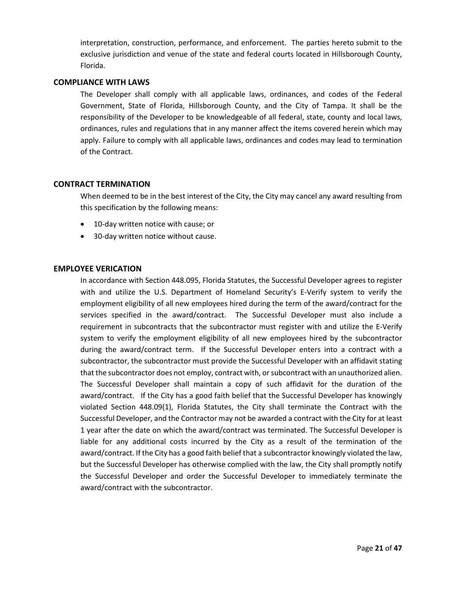interpretation, construction, performance, and enforcement. The parties hereto submit to the exclusive jurisdiction and venue of the state and federal courts located in Hillsborough County, Florida.

#### <span id="page-20-0"></span>**COMPLIANCE WITH LAWS**

The Developer shall comply with all applicable laws, ordinances, and codes of the Federal Government, State of Florida, Hillsborough County, and the City of Tampa. It shall be the responsibility of the Developer to be knowledgeable of all federal, state, county and local laws, ordinances, rules and regulations that in any manner affect the items covered herein which may apply. Failure to comply with all applicable laws, ordinances and codes may lead to termination of the Contract.

#### <span id="page-20-1"></span>**CONTRACT TERMINATION**

When deemed to be in the best interest of the City, the City may cancel any award resulting from this specification by the following means:

- 10-day written notice with cause; or
- 30-day written notice without cause.

#### **EMPLOYEE VERICATION**

In accordance with Section 448.095, Florida Statutes, the Successful Developer agrees to register with and utilize the U.S. Department of Homeland Security's E-Verify system to verify the employment eligibility of all new employees hired during the term of the award/contract for the services specified in the award/contract. The Successful Developer must also include a requirement in subcontracts that the subcontractor must register with and utilize the E-Verify system to verify the employment eligibility of all new employees hired by the subcontractor during the award/contract term. If the Successful Developer enters into a contract with a subcontractor, the subcontractor must provide the Successful Developer with an affidavit stating that the subcontractor does not employ, contract with, or subcontract with an unauthorized alien. The Successful Developer shall maintain a copy of such affidavit for the duration of the award/contract. If the City has a good faith belief that the Successful Developer has knowingly violated Section 448.09(1), Florida Statutes, the City shall terminate the Contract with the Successful Developer, and the Contractor may not be awarded a contract with the City for at least 1 year after the date on which the award/contract was terminated. The Successful Developer is liable for any additional costs incurred by the City as a result of the termination of the award/contract. If the City has a good faith belief that a subcontractor knowingly violated the law, but the Successful Developer has otherwise complied with the law, the City shall promptly notify the Successful Developer and order the Successful Developer to immediately terminate the award/contract with the subcontractor.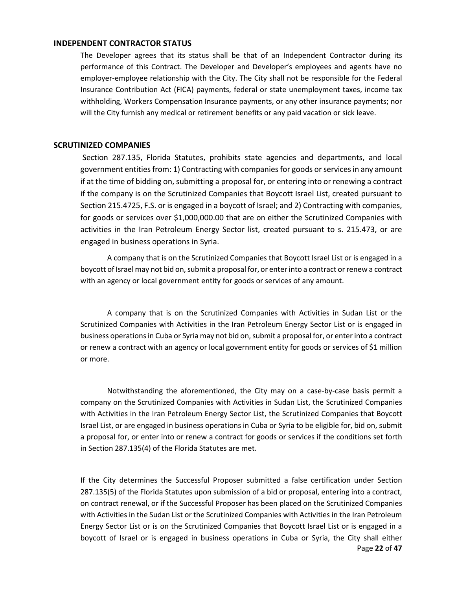#### <span id="page-21-0"></span>**INDEPENDENT CONTRACTOR STATUS**

The Developer agrees that its status shall be that of an Independent Contractor during its performance of this Contract. The Developer and Developer's employees and agents have no employer-employee relationship with the City. The City shall not be responsible for the Federal Insurance Contribution Act (FICA) payments, federal or state unemployment taxes, income tax withholding, Workers Compensation Insurance payments, or any other insurance payments; nor will the City furnish any medical or retirement benefits or any paid vacation or sick leave.

#### <span id="page-21-1"></span>**SCRUTINIZED COMPANIES**

Section 287.135, Florida Statutes, prohibits state agencies and departments, and local government entities from: 1) Contracting with companies for goods or services in any amount if at the time of bidding on, submitting a proposal for, or entering into or renewing a contract if the company is on the Scrutinized Companies that Boycott Israel List, created pursuant to Section 215.4725, F.S. or is engaged in a boycott of Israel; and 2) Contracting with companies, for goods or services over \$1,000,000.00 that are on either the Scrutinized Companies with activities in the Iran Petroleum Energy Sector list, created pursuant to s. 215.473, or are engaged in business operations in Syria.

A company that is on the Scrutinized Companies that Boycott Israel List or is engaged in a boycott of Israel may not bid on, submit a proposal for, or enter into a contract or renew a contract with an agency or local government entity for goods or services of any amount.

A company that is on the Scrutinized Companies with Activities in Sudan List or the Scrutinized Companies with Activities in the Iran Petroleum Energy Sector List or is engaged in business operations in Cuba or Syria may not bid on, submit a proposal for, or enter into a contract or renew a contract with an agency or local government entity for goods or services of \$1 million or more.

Notwithstanding the aforementioned, the City may on a case-by-case basis permit a company on the Scrutinized Companies with Activities in Sudan List, the Scrutinized Companies with Activities in the Iran Petroleum Energy Sector List, the Scrutinized Companies that Boycott Israel List, or are engaged in business operations in Cuba or Syria to be eligible for, bid on, submit a proposal for, or enter into or renew a contract for goods or services if the conditions set forth in Section 287.135(4) of the Florida Statutes are met.

Page **22** of **47** If the City determines the Successful Proposer submitted a false certification under Section 287.135(5) of the Florida Statutes upon submission of a bid or proposal, entering into a contract, on contract renewal, or if the Successful Proposer has been placed on the Scrutinized Companies with Activities in the Sudan List or the Scrutinized Companies with Activities in the Iran Petroleum Energy Sector List or is on the Scrutinized Companies that Boycott Israel List or is engaged in a boycott of Israel or is engaged in business operations in Cuba or Syria, the City shall either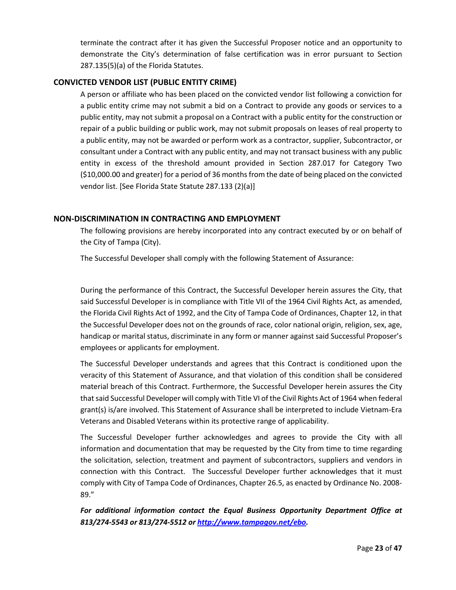terminate the contract after it has given the Successful Proposer notice and an opportunity to demonstrate the City's determination of false certification was in error pursuant to Section 287.135(5)(a) of the Florida Statutes.

#### <span id="page-22-0"></span>**CONVICTED VENDOR LIST (PUBLIC ENTITY CRIME)**

A person or affiliate who has been placed on the convicted vendor list following a conviction for a public entity crime may not submit a bid on a Contract to provide any goods or services to a public entity, may not submit a proposal on a Contract with a public entity for the construction or repair of a public building or public work, may not submit proposals on leases of real property to a public entity, may not be awarded or perform work as a contractor, supplier, Subcontractor, or consultant under a Contract with any public entity, and may not transact business with any public entity in excess of the threshold amount provided in Section 287.017 for Category Two (\$10,000.00 and greater) for a period of 36 months from the date of being placed on the convicted vendor list. [See Florida State Statute 287.133 (2)(a)]

#### <span id="page-22-1"></span>**NON-DISCRIMINATION IN CONTRACTING AND EMPLOYMENT**

The following provisions are hereby incorporated into any contract executed by or on behalf of the City of Tampa (City).

The Successful Developer shall comply with the following Statement of Assurance:

During the performance of this Contract, the Successful Developer herein assures the City, that said Successful Developer is in compliance with Title VII of the 1964 Civil Rights Act, as amended, the Florida Civil Rights Act of 1992, and the City of Tampa Code of Ordinances, Chapter 12, in that the Successful Developer does not on the grounds of race, color national origin, religion, sex, age, handicap or marital status, discriminate in any form or manner against said Successful Proposer's employees or applicants for employment.

The Successful Developer understands and agrees that this Contract is conditioned upon the veracity of this Statement of Assurance, and that violation of this condition shall be considered material breach of this Contract. Furthermore, the Successful Developer herein assures the City that said Successful Developer will comply with Title VI of the Civil Rights Act of 1964 when federal grant(s) is/are involved. This Statement of Assurance shall be interpreted to include Vietnam-Era Veterans and Disabled Veterans within its protective range of applicability.

The Successful Developer further acknowledges and agrees to provide the City with all information and documentation that may be requested by the City from time to time regarding the solicitation, selection, treatment and payment of subcontractors, suppliers and vendors in connection with this Contract. The Successful Developer further acknowledges that it must comply with City of Tampa Code of Ordinances, Chapter 26.5, as enacted by Ordinance No. 2008- 89."

*For additional information contact the Equal Business Opportunity Department Office at 813/274-5543 or 813/274-5512 or<http://www.tampagov.net/>ebo.*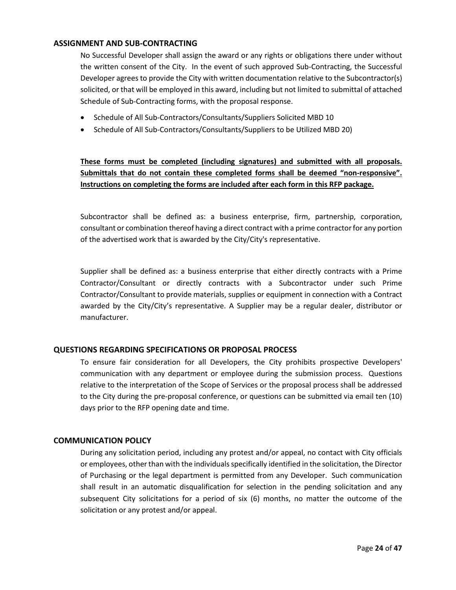#### <span id="page-23-0"></span>**ASSIGNMENT AND SUB-CONTRACTING**

No Successful Developer shall assign the award or any rights or obligations there under without the written consent of the City. In the event of such approved Sub-Contracting, the Successful Developer agrees to provide the City with written documentation relative to the Subcontractor(s) solicited, or that will be employed in this award, including but not limited to submittal of attached Schedule of Sub-Contracting forms, with the proposal response.

- Schedule of All Sub-Contractors/Consultants/Suppliers Solicited MBD 10
- Schedule of All Sub-Contractors/Consultants/Suppliers to be Utilized MBD 20)

**These forms must be completed (including signatures) and submitted with all proposals. Submittals that do not contain these completed forms shall be deemed "non-responsive". Instructions on completing the forms are included after each form in this RFP package.** 

Subcontractor shall be defined as: a business enterprise, firm, partnership, corporation, consultant or combination thereof having a direct contract with a prime contractor for any portion of the advertised work that is awarded by the City/City's representative.

Supplier shall be defined as: a business enterprise that either directly contracts with a Prime Contractor/Consultant or directly contracts with a Subcontractor under such Prime Contractor/Consultant to provide materials, supplies or equipment in connection with a Contract awarded by the City/City's representative. A Supplier may be a regular dealer, distributor or manufacturer.

#### <span id="page-23-1"></span>**QUESTIONS REGARDING SPECIFICATIONS OR PROPOSAL PROCESS**

To ensure fair consideration for all Developers, the City prohibits prospective Developers' communication with any department or employee during the submission process. Questions relative to the interpretation of the Scope of Services or the proposal process shall be addressed to the City during the pre-proposal conference, or questions can be submitted via email ten (10) days prior to the RFP opening date and time.

#### <span id="page-23-2"></span>**COMMUNICATION POLICY**

During any solicitation period, including any protest and/or appeal, no contact with City officials or employees, other than with the individuals specifically identified in the solicitation, the Director of Purchasing or the legal department is permitted from any Developer. Such communication shall result in an automatic disqualification for selection in the pending solicitation and any subsequent City solicitations for a period of six (6) months, no matter the outcome of the solicitation or any protest and/or appeal.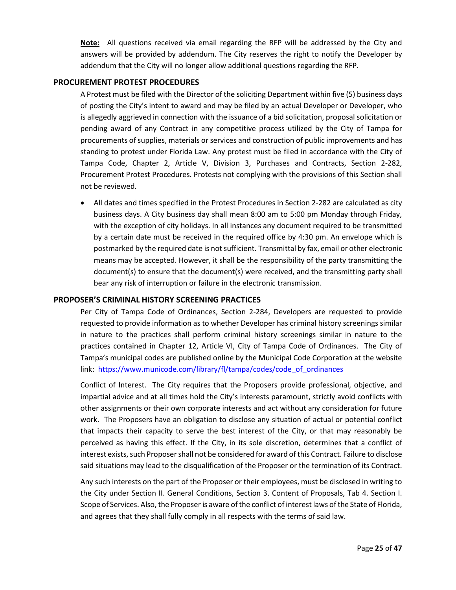**Note:** All questions received via email regarding the RFP will be addressed by the City and answers will be provided by addendum. The City reserves the right to notify the Developer by addendum that the City will no longer allow additional questions regarding the RFP.

#### <span id="page-24-0"></span>**PROCUREMENT PROTEST PROCEDURES**

A Protest must be filed with the Director of the soliciting Department within five (5) business days of posting the City's intent to award and may be filed by an actual Developer or Developer, who is allegedly aggrieved in connection with the issuance of a bid solicitation, proposal solicitation or pending award of any Contract in any competitive process utilized by the City of Tampa for procurements of supplies, materials or services and construction of public improvements and has standing to protest under Florida Law. Any protest must be filed in accordance with the City of Tampa Code, Chapter 2, Article V, Division 3, Purchases and Contracts, Section 2-282, Procurement Protest Procedures. Protests not complying with the provisions of this Section shall not be reviewed.

• All dates and times specified in the Protest Procedures in Section 2-282 are calculated as city business days. A City business day shall mean 8:00 am to 5:00 pm Monday through Friday, with the exception of city holidays. In all instances any document required to be transmitted by a certain date must be received in the required office by 4:30 pm. An envelope which is postmarked by the required date is not sufficient. Transmittal by fax, email or other electronic means may be accepted. However, it shall be the responsibility of the party transmitting the document(s) to ensure that the document(s) were received, and the transmitting party shall bear any risk of interruption or failure in the electronic transmission.

#### <span id="page-24-1"></span>**PROPOSER'S CRIMINAL HISTORY SCREENING PRACTICES**

Per City of Tampa Code of Ordinances, Section 2-284, Developers are requested to provide requested to provide information as to whether Developer has criminal history screenings similar in nature to the practices shall perform criminal history screenings similar in nature to the practices contained in Chapter 12, Article VI, City of Tampa Code of Ordinances. The City of Tampa's municipal codes are published online by the Municipal Code Corporation at the website link: [https://www.municode.com/library/fl/tampa/codes/code\\_of\\_ordinances](https://www.municode.com/library/fl/tampa/codes/code_of_ordinances)

Conflict of Interest. The City requires that the Proposers provide professional, objective, and impartial advice and at all times hold the City's interests paramount, strictly avoid conflicts with other assignments or their own corporate interests and act without any consideration for future work. The Proposers have an obligation to disclose any situation of actual or potential conflict that impacts their capacity to serve the best interest of the City, or that may reasonably be perceived as having this effect. If the City, in its sole discretion, determines that a conflict of interest exists, such Proposer shall not be considered for award of this Contract. Failure to disclose said situations may lead to the disqualification of the Proposer or the termination of its Contract.

Any such interests on the part of the Proposer or their employees, must be disclosed in writing to the City under Section II. General Conditions, Section 3. Content of Proposals, Tab 4. Section I. Scope of Services. Also, the Proposer is aware of the conflict of interest laws of the State of Florida, and agrees that they shall fully comply in all respects with the terms of said law.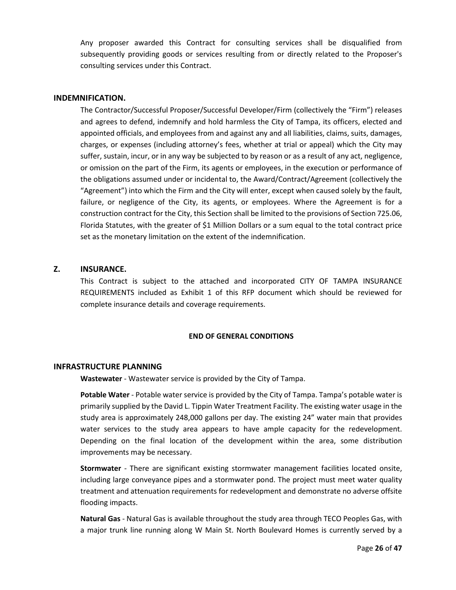Any proposer awarded this Contract for consulting services shall be disqualified from subsequently providing goods or services resulting from or directly related to the Proposer's consulting services under this Contract.

#### <span id="page-25-0"></span>**INDEMNIFICATION.**

The Contractor/Successful Proposer/Successful Developer/Firm (collectively the "Firm") releases and agrees to defend, indemnify and hold harmless the City of Tampa, its officers, elected and appointed officials, and employees from and against any and all liabilities, claims, suits, damages, charges, or expenses (including attorney's fees, whether at trial or appeal) which the City may suffer, sustain, incur, or in any way be subjected to by reason or as a result of any act, negligence, or omission on the part of the Firm, its agents or employees, in the execution or performance of the obligations assumed under or incidental to, the Award/Contract/Agreement (collectively the "Agreement") into which the Firm and the City will enter, except when caused solely by the fault, failure, or negligence of the City, its agents, or employees. Where the Agreement is for a construction contract for the City, this Section shall be limited to the provisions of Section 725.06, Florida Statutes, with the greater of \$1 Million Dollars or a sum equal to the total contract price set as the monetary limitation on the extent of the indemnification.

#### <span id="page-25-1"></span>**Z. INSURANCE.**

This Contract is subject to the attached and incorporated CITY OF TAMPA INSURANCE REQUIREMENTS included as Exhibit 1 of this RFP document which should be reviewed for complete insurance details and coverage requirements.

#### **END OF GENERAL CONDITIONS**

#### <span id="page-25-2"></span>**INFRASTRUCTURE PLANNING**

**Wastewater** - Wastewater service is provided by the City of Tampa.

**Potable Water** - Potable water service is provided by the City of Tampa. Tampa's potable water is primarily supplied by the David L. Tippin Water Treatment Facility. The existing water usage in the study area is approximately 248,000 gallons per day. The existing 24" water main that provides water services to the study area appears to have ample capacity for the redevelopment. Depending on the final location of the development within the area, some distribution improvements may be necessary.

**Stormwater** - There are significant existing stormwater management facilities located onsite, including large conveyance pipes and a stormwater pond. The project must meet water quality treatment and attenuation requirements for redevelopment and demonstrate no adverse offsite flooding impacts.

**Natural Gas** - Natural Gas is available throughout the study area through TECO Peoples Gas, with a major trunk line running along W Main St. North Boulevard Homes is currently served by a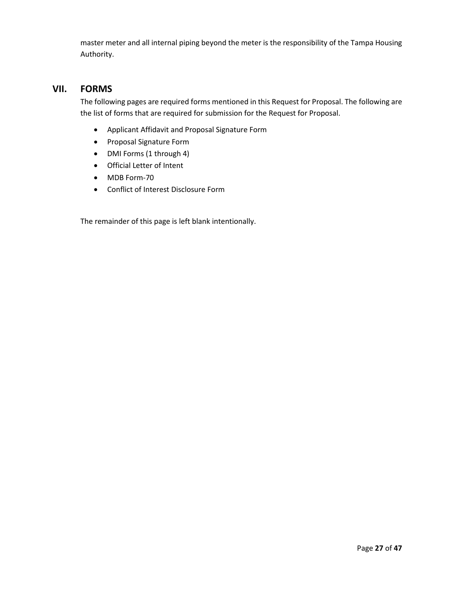master meter and all internal piping beyond the meter is the responsibility of the Tampa Housing Authority.

## <span id="page-26-0"></span>**VII. FORMS**

The following pages are required forms mentioned in this Request for Proposal. The following are the list of forms that are required for submission for the Request for Proposal.

- Applicant Affidavit and Proposal Signature Form
- Proposal Signature Form
- DMI Forms (1 through 4)
- Official Letter of Intent
- MDB Form-70
- Conflict of Interest Disclosure Form

The remainder of this page is left blank intentionally.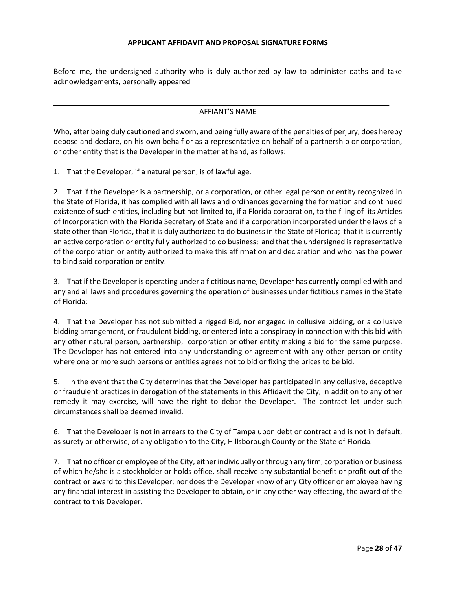#### **APPLICANT AFFIDAVIT AND PROPOSAL SIGNATURE FORMS**

Before me, the undersigned authority who is duly authorized by law to administer oaths and take acknowledgements, personally appeared

#### AFFIANT'S NAME

Who, after being duly cautioned and sworn, and being fully aware of the penalties of perjury, does hereby depose and declare, on his own behalf or as a representative on behalf of a partnership or corporation, or other entity that is the Developer in the matter at hand, as follows:

1. That the Developer, if a natural person, is of lawful age.

2. That if the Developer is a partnership, or a corporation, or other legal person or entity recognized in the State of Florida, it has complied with all laws and ordinances governing the formation and continued existence of such entities, including but not limited to, if a Florida corporation, to the filing of its Articles of Incorporation with the Florida Secretary of State and if a corporation incorporated under the laws of a state other than Florida, that it is duly authorized to do business in the State of Florida; that it is currently an active corporation or entity fully authorized to do business; and that the undersigned is representative of the corporation or entity authorized to make this affirmation and declaration and who has the power to bind said corporation or entity.

3. That if the Developer is operating under a fictitious name, Developer has currently complied with and any and all laws and procedures governing the operation of businesses under fictitious names in the State of Florida;

4. That the Developer has not submitted a rigged Bid, nor engaged in collusive bidding, or a collusive bidding arrangement, or fraudulent bidding, or entered into a conspiracy in connection with this bid with any other natural person, partnership, corporation or other entity making a bid for the same purpose. The Developer has not entered into any understanding or agreement with any other person or entity where one or more such persons or entities agrees not to bid or fixing the prices to be bid.

5. In the event that the City determines that the Developer has participated in any collusive, deceptive or fraudulent practices in derogation of the statements in this Affidavit the City, in addition to any other remedy it may exercise, will have the right to debar the Developer. The contract let under such circumstances shall be deemed invalid.

6. That the Developer is not in arrears to the City of Tampa upon debt or contract and is not in default, as surety or otherwise, of any obligation to the City, Hillsborough County or the State of Florida.

7. That no officer or employee of the City, either individually or through any firm, corporation or business of which he/she is a stockholder or holds office, shall receive any substantial benefit or profit out of the contract or award to this Developer; nor does the Developer know of any City officer or employee having any financial interest in assisting the Developer to obtain, or in any other way effecting, the award of the contract to this Developer.

\_\_\_\_\_\_\_\_\_\_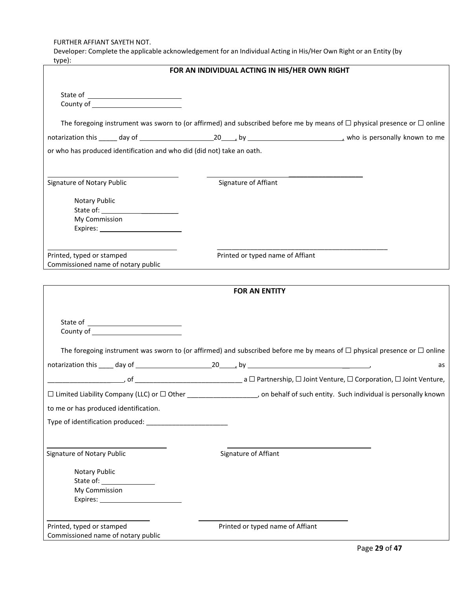FURTHER AFFIANT SAYETH NOT.

Developer: Complete the applicable acknowledgement for an Individual Acting in His/Her Own Right or an Entity (by tyne)<sup>.</sup>

| cypc).                                                                 | FOR AN INDIVIDUAL ACTING IN HIS/HER OWN RIGHT                                                                                      |
|------------------------------------------------------------------------|------------------------------------------------------------------------------------------------------------------------------------|
|                                                                        |                                                                                                                                    |
|                                                                        | The foregoing instrument was sworn to (or affirmed) and subscribed before me by means of $\Box$ physical presence or $\Box$ online |
|                                                                        |                                                                                                                                    |
| or who has produced identification and who did (did not) take an oath. |                                                                                                                                    |
| Signature of Notary Public                                             | Signature of Affiant                                                                                                               |
| Notary Public                                                          |                                                                                                                                    |
| My Commission                                                          |                                                                                                                                    |
| Printed, typed or stamped<br>Commissioned name of notary public        | Printed or typed name of Affiant                                                                                                   |
|                                                                        |                                                                                                                                    |
|                                                                        | <b>FOR AN ENTITY</b>                                                                                                               |
|                                                                        |                                                                                                                                    |
|                                                                        | The foregoing instrument was sworn to (or affirmed) and subscribed before me by means of $\Box$ physical presence or $\Box$ online |
|                                                                        | as                                                                                                                                 |
| $\Box$ Limited Liability Company (LLC) or $\Box$ Other                 | , on behalf of such entity. Such individual is personally known                                                                    |
| to me or has produced identification.                                  |                                                                                                                                    |
|                                                                        |                                                                                                                                    |
| Signature of Notary Public                                             | Signature of Affiant                                                                                                               |
| Notary Public                                                          |                                                                                                                                    |
| My Commission                                                          |                                                                                                                                    |
| Printed, typed or stamped<br>Commissioned name of notary public        | Printed or typed name of Affiant                                                                                                   |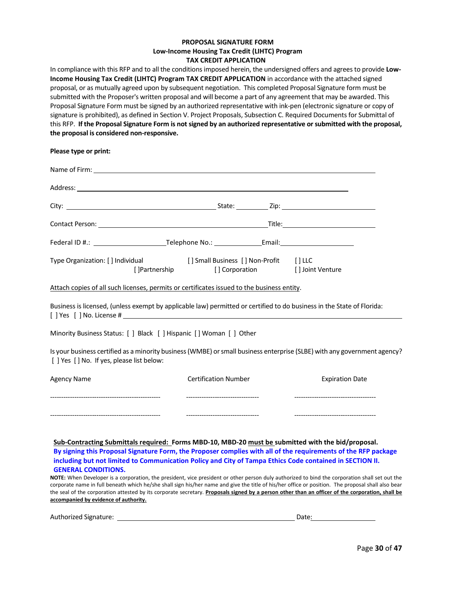#### **PROPOSAL SIGNATURE FORM Low-Income Housing Tax Credit (LIHTC) Program TAX CREDIT APPLICATION**

In compliance with this RFP and to all the conditions imposed herein, the undersigned offers and agrees to provide **Low-Income Housing Tax Credit (LIHTC) Program TAX CREDIT APPLICATION** in accordance with the attached signed proposal, or as mutually agreed upon by subsequent negotiation. This completed Proposal Signature form must be submitted with the Proposer's written proposal and will become a part of any agreement that may be awarded. This Proposal Signature Form must be signed by an authorized representative with ink-pen (electronic signature or copy of signature is prohibited), as defined in Section V. Project Proposals, Subsection C. Required Documents for Submittal of this RFP. **If the Proposal Signature Form is not signed by an authorized representative or submitted with the proposal, the proposal is considered non-responsive.**

**Please type or print:**

| Federal ID #.: \\connectlently relephone No.: \\connectlently relationships rederal ID #.: \\connectlently relephone No.: \\connectlently relationships relationships relationships relationships relationships relationships |                |                             |                                                                                                                          |  |
|-------------------------------------------------------------------------------------------------------------------------------------------------------------------------------------------------------------------------------|----------------|-----------------------------|--------------------------------------------------------------------------------------------------------------------------|--|
| Type Organization: [] Individual [] Small Business [] Non-Profit [] LLC                                                                                                                                                       | [] Partnership |                             | [] Corporation [] Joint Venture                                                                                          |  |
| Attach copies of all such licenses, permits or certificates issued to the business entity.                                                                                                                                    |                |                             |                                                                                                                          |  |
|                                                                                                                                                                                                                               |                |                             | Business is licensed, (unless exempt by applicable law) permitted or certified to do business in the State of Florida:   |  |
| Minority Business Status: [ ] Black [ ] Hispanic [ ] Woman [ ] Other                                                                                                                                                          |                |                             |                                                                                                                          |  |
| [ ] Yes [ ] No. If yes, please list below:                                                                                                                                                                                    |                |                             | Is your business certified as a minority business (WMBE) or small business enterprise (SLBE) with any government agency? |  |
| <b>Agency Name</b>                                                                                                                                                                                                            |                | <b>Certification Number</b> | <b>Expiration Date</b>                                                                                                   |  |
|                                                                                                                                                                                                                               |                |                             |                                                                                                                          |  |
|                                                                                                                                                                                                                               |                |                             | --------------------------------------                                                                                   |  |
|                                                                                                                                                                                                                               |                |                             | الانتقادا البليان المتاريخ المصطورة والمستحدث الباريان المتارين المستحدث والمستحدث                                       |  |

**Sub-Contracting Submittals required: Forms MBD-10, MBD-20 must be submitted with the bid/proposal. By signing this Proposal Signature Form, the Proposer complies with all of the requirements of the RFP package including but not limited to Communication Policy and City of Tampa Ethics Code contained in SECTION II. GENERAL CONDITIONS.**

**NOTE:** When Developer is a corporation, the president, vice president or other person duly authorized to bind the corporation shall set out the corporate name in full beneath which he/she shall sign his/her name and give the title of his/her office or position. The proposal shall also bear the seal of the corporation attested by its corporate secretary. **Proposals signed by a person other than an officer of the corporation, shall be accompanied by evidence of authority.**

Authorized Signature: Date: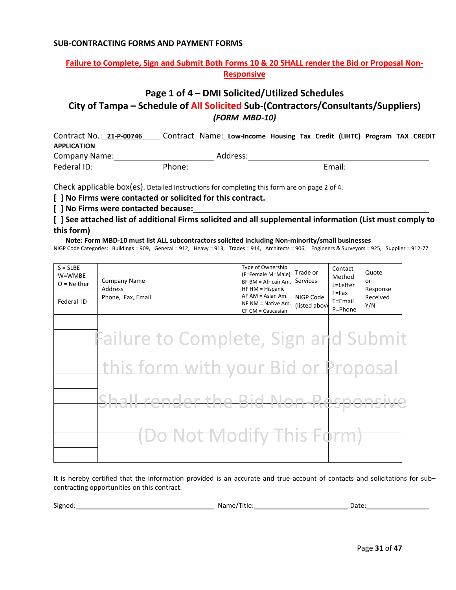#### **SUB-CONTRACTING FORMS AND PAYMENT FORMS**

#### **Failure to Complete, Sign and Submit Both Forms 10 & 20 SHALL render the Bid or Proposal Non-Responsive**

## **Page 1 of 4 – DMI Solicited/Utilized Schedules**

**City of Tampa – Schedule of All Solicited Sub-(Contractors/Consultants/Suppliers)**  *(FORM MBD-10)*

Contract No.: **21-P-00746** Contract Name: **Low-Income Housing Tax Credit (LIHTC) Program TAX CREDIT APPLICATION** Company Name: Manual Address: Address: Address: Address: Address: Address: Address: Address: Address: Address: Address: Address: Address: Address: Address: Address: Address: Address: Address: Address: Address: Address: Add Federal ID: Phone: Phone: Email: Email:

Check applicable box(es). Detailed Instructions for completing this form are on page 2 of 4.

**[ ] No Firms were contacted or solicited for this contract.**

**[ ] No Firms were contacted because:**

**[ ] See attached list of additional Firms solicited and all supplemental information (List must comply to this form)**

 **Note: Form MBD-10 must list ALL subcontractors solicited including Non-minority/small businesses**

NIGP Code Categories: Buildings = 909, General = 912, Heavy = 913, Trades = 914, Architects = 906, Engineers & Surveyors = 925, Supplier = 912-77

| $S = S L B E$<br>W=WMBE<br>$O = Neither$<br>Federal ID | <b>Company Name</b><br>Address<br>Phone, Fax, Email | Type of Ownership<br>(F=Female M=Male)<br>BF BM = African Am.<br>HF HM = Hispanic<br>$AF AM = Asian Am.$<br>NF NM = Native Am.<br>$CF CM = Caucasian$ | Trade or<br>Services<br>NIGP Code<br>(listed above | Contact<br>Method<br>L=Letter<br>$F = Fax$<br>E=Email<br>P=Phone | Quote<br>or<br>Response<br>Received<br>Y/N |
|--------------------------------------------------------|-----------------------------------------------------|-------------------------------------------------------------------------------------------------------------------------------------------------------|----------------------------------------------------|------------------------------------------------------------------|--------------------------------------------|
|                                                        | Failure to Complete, Sign and Submi                 |                                                                                                                                                       |                                                    |                                                                  |                                            |
|                                                        | this form with your I                               |                                                                                                                                                       |                                                    |                                                                  |                                            |
|                                                        | oll ronde<br>ar th                                  |                                                                                                                                                       |                                                    |                                                                  |                                            |
|                                                        | <u>o Not Ma</u>                                     | $\blacksquare$<br><b>Section</b>                                                                                                                      |                                                    |                                                                  |                                            |
|                                                        |                                                     |                                                                                                                                                       |                                                    |                                                                  |                                            |

It is hereby certified that the information provided is an accurate and true account of contacts and solicitations for sub– contracting opportunities on this contract.

| Signed:<br>◝∼<br>- - -<br>Title.<br>N.<br>Date<br>_____ |  |
|---------------------------------------------------------|--|
|---------------------------------------------------------|--|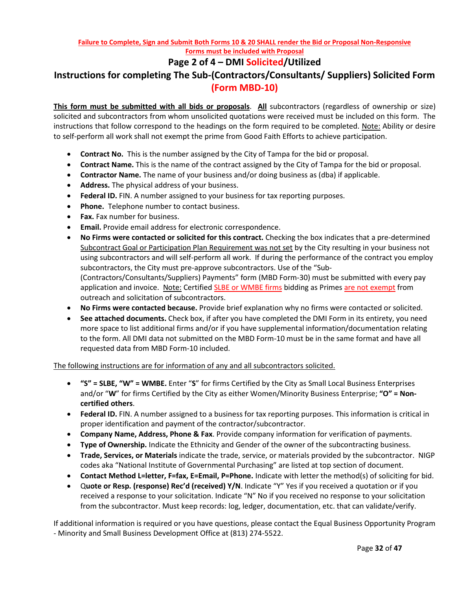#### **Failure to Complete, Sign and Submit Both Forms 10 & 20 SHALL render the Bid or Proposal Non-Responsive Forms must be included with Proposal**

## **Page 2 of 4 – DMI Solicited/Utilized**

## **Instructions for completing The Sub-(Contractors/Consultants/ Suppliers) Solicited Form (Form MBD-10)**

**This form must be submitted with all bids or proposals**. **All** subcontractors (regardless of ownership or size) solicited and subcontractors from whom unsolicited quotations were received must be included on this form. The instructions that follow correspond to the headings on the form required to be completed. Note: Ability or desire to self-perform all work shall not exempt the prime from Good Faith Efforts to achieve participation.

- **Contract No.** This is the number assigned by the City of Tampa for the bid or proposal.
- **Contract Name.** This is the name of the contract assigned by the City of Tampa for the bid or proposal.
- **Contractor Name.** The name of your business and/or doing business as (dba) if applicable.
- **Address.** The physical address of your business.
- **Federal ID.** FIN. A number assigned to your business for tax reporting purposes.
- **Phone.** Telephone number to contact business.
- **Fax.** Fax number for business.
- **Email.** Provide email address for electronic correspondence.
- **No Firms were contacted or solicited for this contract.** Checking the box indicates that a pre-determined Subcontract Goal or Participation Plan Requirement was not set by the City resulting in your business not using subcontractors and will self-perform all work. If during the performance of the contract you employ subcontractors, the City must pre-approve subcontractors. Use of the "Sub- (Contractors/Consultants/Suppliers) Payments" form (MBD Form-30) must be submitted with every pay application and invoice. Note: Certified SLBE or WMBE firms bidding as Primes are not exempt from outreach and solicitation of subcontractors.
- **No Firms were contacted because.** Provide brief explanation why no firms were contacted or solicited.
- **See attached documents.** Check box, if after you have completed the DMI Form in its entirety, you need more space to list additional firms and/or if you have supplemental information/documentation relating to the form. All DMI data not submitted on the MBD Form-10 must be in the same format and have all requested data from MBD Form-10 included.

The following instructions are for information of any and all subcontractors solicited.

- **"S" = SLBE, "W" = WMBE.** Enter "**S**" for firms Certified by the City as Small Local Business Enterprises and/or "**W**" for firms Certified by the City as either Women/Minority Business Enterprise; **"O" = Noncertified others**.
- **Federal ID.** FIN. A number assigned to a business for tax reporting purposes. This information is critical in proper identification and payment of the contractor/subcontractor.
- **Company Name, Address, Phone & Fax**. Provide company information for verification of payments.
- **Type of Ownership.** Indicate the Ethnicity and Gender of the owner of the subcontracting business.
- **Trade, Services, or Materials** indicate the trade, service, or materials provided by the subcontractor. NIGP codes aka "National Institute of Governmental Purchasing" are listed at top section of document.
- **Contact Method L=letter, F=fax, E=Email, P=Phone.** Indicate with letter the method(s) of soliciting for bid.
- Q**uote or Resp. (response) Rec'd (received) Y/N**. Indicate "Y" Yes if you received a quotation or if you received a response to your solicitation. Indicate "N" No if you received no response to your solicitation from the subcontractor. Must keep records: log, ledger, documentation, etc. that can validate/verify.

If additional information is required or you have questions, please contact the Equal Business Opportunity Program - Minority and Small Business Development Office at (813) 274-5522.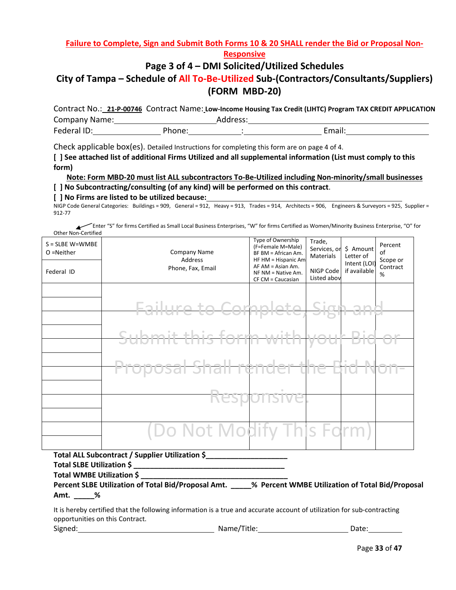**Failure to Complete, Sign and Submit Both Forms 10 & 20 SHALL render the Bid or Proposal Non-**

**Responsive** 

## **Page 3 of 4 – DMI Solicited/Utilized Schedules**

## **City of Tampa – Schedule of All To-Be-Utilized Sub-(Contractors/Consultants/Suppliers) (FORM MBD-20)**

Contract No.: **21-P-00746** Contract Name: **Low-Income Housing Tax Credit (LIHTC) Program TAX CREDIT APPLICATION** Company Name: 1988 March 2010 March 2010 March 2010 Federal ID: Phone: : Email:

Check applicable box(es). Detailed Instructions for completing this form are on page 4 of 4.

**[ ] See attached list of additional Firms Utilized and all supplemental information (List must comply to this form)**

#### **Note: Form MBD-20 must list ALL subcontractors To-Be-Utilized including Non-minority/small businesses**

#### **[ ] No Subcontracting/consulting (of any kind) will be performed on this contract**.

#### **[ ] No Firms are listed to be utilized because:**

NIGP Code General Categories: Buildings = 909, General = 912, Heavy = 913, Trades = 914, Architects = 906, Engineers & Surveyors = 925, Supplier = 912-77

 Enter "S" for firms Certified as Small Local Business Enterprises, "W" for firms Certified as Women/Minority Business Enterprise, "O" for Other Non-Certified

| $S = S LBE W = W MBE$<br>O =Neither<br>Federal ID | Company Name<br>Address<br>Phone, Fax, Email | Type of Ownership<br>(F=Female M=Male)<br>BF BM = African Am.<br>HF HM = Hispanic Am<br>$AF AM = Asian Am.$<br>$NF NM = Native Am$ .<br>CF CM = Caucasian | Trade,<br>Services, or<br><b>Materials</b><br>NIGP Code<br>Listed abov | \$ Amount<br>Letter of<br>Intent (LOI)<br>if available | Percent<br>of<br>Scope or<br>Contract<br>% |
|---------------------------------------------------|----------------------------------------------|-----------------------------------------------------------------------------------------------------------------------------------------------------------|------------------------------------------------------------------------|--------------------------------------------------------|--------------------------------------------|
|                                                   | $\overline{r}$ to Con                        |                                                                                                                                                           |                                                                        |                                                        |                                            |
|                                                   | Cuhmit this form                             | – vari±lo                                                                                                                                                 |                                                                        |                                                        |                                            |
|                                                   |                                              |                                                                                                                                                           |                                                                        |                                                        |                                            |
|                                                   |                                              | <b>Responsive</b>                                                                                                                                         |                                                                        |                                                        |                                            |
|                                                   | (Do Not Modify This Form)                    |                                                                                                                                                           |                                                                        |                                                        |                                            |

**Total ALL Subcontract / Supplier Utilization \$\_\_\_\_\_\_\_\_\_\_\_\_\_\_\_\_\_\_\_\_**

**Total SLBE Utilization \$ \_\_\_\_\_\_\_\_\_\_\_\_\_\_\_\_\_\_\_\_\_\_\_\_\_\_\_\_\_\_\_\_\_\_\_\_\_** 

**Total WMBE Utilization \$ \_\_\_\_\_\_\_\_\_\_\_\_\_\_\_\_\_\_\_\_\_\_\_\_\_\_\_\_\_\_\_\_\_\_\_\_**

**Percent SLBE Utilization of Total Bid/Proposal Amt. \_\_\_\_\_% Percent WMBE Utilization of Total Bid/Proposal Amt. \_\_\_\_\_%**

It is hereby certified that the following information is a true and accurate account of utilization for sub-contracting opportunities on this Contract.

| Signed:<br>Name/Title: | Date: |
|------------------------|-------|
|------------------------|-------|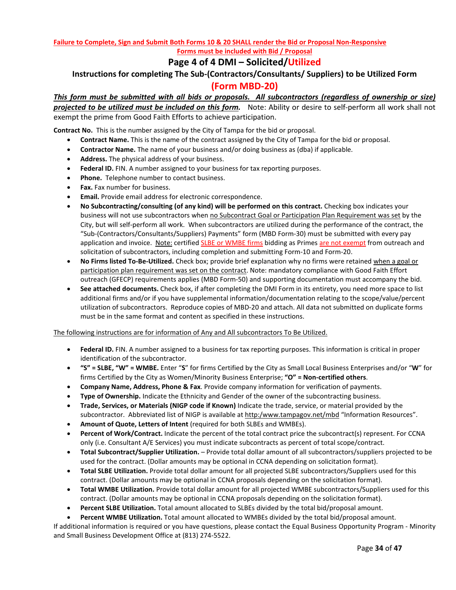#### **Failure to Complete, Sign and Submit Both Forms 10 & 20 SHALL render the Bid or Proposal Non-Responsive Forms must be included with Bid / Proposal**

## **Page 4 of 4 DMI – Solicited/Utilized**

## **Instructions for completing The Sub-(Contractors/Consultants/ Suppliers) to be Utilized Form (Form MBD-20)**

*This form must be submitted with all bids or proposals. All subcontractors (regardless of ownership or size) projected to be utilized must be included on this form.* Note: Ability or desire to self-perform all work shall not exempt the prime from Good Faith Efforts to achieve participation.

**Contract No.** This is the number assigned by the City of Tampa for the bid or proposal.

- **Contract Name.** This is the name of the contract assigned by the City of Tampa for the bid or proposal.
- **Contractor Name.** The name of your business and/or doing business as (dba) if applicable.
- **Address.** The physical address of your business.
- **Federal ID.** FIN. A number assigned to your business for tax reporting purposes.
- **Phone.** Telephone number to contact business.
- **Fax.** Fax number for business.
- **Email.** Provide email address for electronic correspondence.
- **No Subcontracting/consulting (of any kind) will be performed on this contract.** Checking box indicates your business will not use subcontractors when no Subcontract Goal or Participation Plan Requirement was set by the City, but will self-perform all work. When subcontractors are utilized during the performance of the contract, the "Sub-(Contractors/Consultants/Suppliers) Payments" form (MBD Form-30) must be submitted with every pay application and invoice. Note: certified SLBE or WMBE firms bidding as Primes are not exempt from outreach and solicitation of subcontractors, including completion and submitting Form-10 and Form-20.
- **No Firms listed To-Be-Utilized.** Check box; provide brief explanation why no firms were retained when a goal or participation plan requirement was set on the contract. Note: mandatory compliance with Good Faith Effort outreach (GFECP) requirements applies (MBD Form-50) and supporting documentation must accompany the bid.
- **See attached documents.** Check box, if after completing the DMI Form in its entirety, you need more space to list additional firms and/or if you have supplemental information/documentation relating to the scope/value/percent utilization of subcontractors. Reproduce copies of MBD-20 and attach. All data not submitted on duplicate forms must be in the same format and content as specified in these instructions.

The following instructions are for information of Any and All subcontractors To Be Utilized.

- **Federal ID.** FIN. A number assigned to a business for tax reporting purposes. This information is critical in proper identification of the subcontractor.
- **"S" = SLBE, "W" = WMBE.** Enter "**S**" for firms Certified by the City as Small Local Business Enterprises and/or "**W**" for firms Certified by the City as Women/Minority Business Enterprise; **"O" = Non-certified others**.
- **Company Name, Address, Phone & Fax**. Provide company information for verification of payments.
- **Type of Ownership.** Indicate the Ethnicity and Gender of the owner of the subcontracting business.
- **Trade, Services, or Materials (NIGP code if Known)** Indicate the trade, service, or material provided by the subcontractor. Abbreviated list of NIGP is available at http:/www.tampagov.net/mbd "Information Resources".
- **Amount of Quote, Letters of Intent** (required for both SLBEs and WMBEs).
- **Percent of Work/Contract.** Indicate the percent of the total contract price the subcontract(s) represent. For CCNA only (i.e. Consultant A/E Services) you must indicate subcontracts as percent of total scope/contract.
- **Total Subcontract/Supplier Utilization.** Provide total dollar amount of all subcontractors/suppliers projected to be used for the contract. (Dollar amounts may be optional in CCNA depending on solicitation format).
- **Total SLBE Utilization.** Provide total dollar amount for all projected SLBE subcontractors/Suppliers used for this contract. (Dollar amounts may be optional in CCNA proposals depending on the solicitation format).
- **Total WMBE Utilization.** Provide total dollar amount for all projected WMBE subcontractors/Suppliers used for this contract. (Dollar amounts may be optional in CCNA proposals depending on the solicitation format).
- **Percent SLBE Utilization.** Total amount allocated to SLBEs divided by the total bid/proposal amount.
- **Percent WMBE Utilization.** Total amount allocated to WMBEs divided by the total bid/proposal amount.

If additional information is required or you have questions, please contact the Equal Business Opportunity Program - Minority and Small Business Development Office at (813) 274-5522.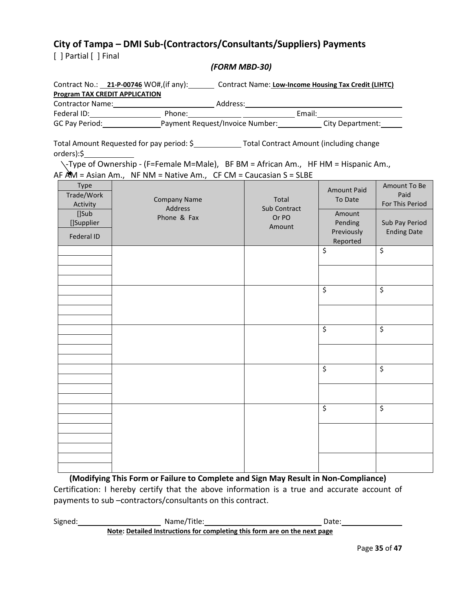## **City of Tampa – DMI Sub-(Contractors/Consultants/Suppliers) Payments**

[ ] Partial [ ] Final

#### *(FORM MBD-30)*

|                                                                            | Contract No.: 21-P-00746 WO#, (if any): Contract Name: Low-Income Housing Tax Credit (LIHTC)                                                                                          |                                                 |                                                                              |                                                                                 |
|----------------------------------------------------------------------------|---------------------------------------------------------------------------------------------------------------------------------------------------------------------------------------|-------------------------------------------------|------------------------------------------------------------------------------|---------------------------------------------------------------------------------|
| <b>Program TAX CREDIT APPLICATION</b>                                      |                                                                                                                                                                                       |                                                 |                                                                              |                                                                                 |
|                                                                            |                                                                                                                                                                                       |                                                 |                                                                              |                                                                                 |
|                                                                            |                                                                                                                                                                                       |                                                 |                                                                              |                                                                                 |
| orders):\$                                                                 | Total Amount Requested for pay period: \$______________Total Contract Amount (including change<br>\-Type of Ownership - (F=Female M=Male), BF BM = African Am., HF HM = Hispanic Am., |                                                 |                                                                              |                                                                                 |
| <b>Type</b><br>Trade/Work<br>Activity<br>[]Sub<br>[]Supplier<br>Federal ID | AF $AM = Asian Am., NF NM = Native Am., CF CM = Caucasian S = S LBE$<br><b>Company Name</b><br>Address<br>Phone & Fax                                                                 | Total<br><b>Sub Contract</b><br>Or PO<br>Amount | <b>Amount Paid</b><br>To Date<br>Amount<br>Pending<br>Previously<br>Reported | Amount To Be<br>Paid<br>For This Period<br>Sub Pay Period<br><b>Ending Date</b> |
|                                                                            |                                                                                                                                                                                       |                                                 | \$                                                                           | \$                                                                              |
|                                                                            |                                                                                                                                                                                       |                                                 | \$                                                                           | \$                                                                              |
|                                                                            |                                                                                                                                                                                       |                                                 |                                                                              |                                                                                 |
|                                                                            |                                                                                                                                                                                       |                                                 | \$                                                                           | \$                                                                              |
|                                                                            |                                                                                                                                                                                       |                                                 |                                                                              |                                                                                 |
|                                                                            |                                                                                                                                                                                       |                                                 | \$                                                                           | \$                                                                              |
|                                                                            |                                                                                                                                                                                       |                                                 |                                                                              |                                                                                 |
|                                                                            |                                                                                                                                                                                       |                                                 | \$                                                                           | Ś.                                                                              |
|                                                                            |                                                                                                                                                                                       |                                                 |                                                                              |                                                                                 |
|                                                                            |                                                                                                                                                                                       |                                                 |                                                                              |                                                                                 |

**(Modifying This Form or Failure to Complete and Sign May Result in Non-Compliance)** Certification: I hereby certify that the above information is a true and accurate account of payments to sub –contractors/consultants on this contract.

Signed: Name/Title: 2000 Mame/Title: Date: **Note: Detailed Instructions for completing this form are on the next page**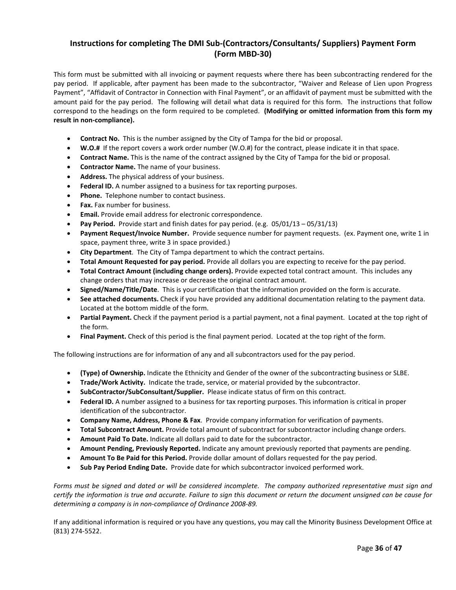#### **Instructions for completing The DMI Sub-(Contractors/Consultants/ Suppliers) Payment Form (Form MBD-30)**

This form must be submitted with all invoicing or payment requests where there has been subcontracting rendered for the pay period. If applicable, after payment has been made to the subcontractor, "Waiver and Release of Lien upon Progress Payment", "Affidavit of Contractor in Connection with Final Payment", or an affidavit of payment must be submitted with the amount paid for the pay period. The following will detail what data is required for this form. The instructions that follow correspond to the headings on the form required to be completed. **(Modifying or omitted information from this form my result in non-compliance).**

- **Contract No.** This is the number assigned by the City of Tampa for the bid or proposal.
- **W.O.#** If the report covers a work order number (W.O.#) for the contract, please indicate it in that space.
- **Contract Name.** This is the name of the contract assigned by the City of Tampa for the bid or proposal.
- **Contractor Name.** The name of your business.
- **Address.** The physical address of your business.
- **Federal ID.** A number assigned to a business for tax reporting purposes.
- Phone. Telephone number to contact business.
- **Fax.** Fax number for business.
- **Email.** Provide email address for electronic correspondence.
- **Pay Period.** Provide start and finish dates for pay period. (e.g. 05/01/13 05/31/13)
- **Payment Request/Invoice Number.** Provide sequence number for payment requests. (ex. Payment one, write 1 in space, payment three, write 3 in space provided.)
- **City Department**. The City of Tampa department to which the contract pertains.
- **Total Amount Requested for pay period.** Provide all dollars you are expecting to receive for the pay period.
- **Total Contract Amount (including change orders).** Provide expected total contract amount. This includes any change orders that may increase or decrease the original contract amount.
- **Signed/Name/Title/Date**. This is your certification that the information provided on the form is accurate.
- **See attached documents.** Check if you have provided any additional documentation relating to the payment data. Located at the bottom middle of the form.
- **Partial Payment.** Check if the payment period is a partial payment, not a final payment. Located at the top right of the form.
- **Final Payment.** Check of this period is the final payment period. Located at the top right of the form.

The following instructions are for information of any and all subcontractors used for the pay period.

- **(Type) of Ownership.** Indicate the Ethnicity and Gender of the owner of the subcontracting business or SLBE.
- **Trade/Work Activity.** Indicate the trade, service, or material provided by the subcontractor.
- **SubContractor/SubConsultant/Supplier.** Please indicate status of firm on this contract.
- **Federal ID.** A number assigned to a business for tax reporting purposes. This information is critical in proper identification of the subcontractor.
- **Company Name, Address, Phone & Fax**. Provide company information for verification of payments.
- **Total Subcontract Amount.** Provide total amount of subcontract for subcontractor including change orders.
- **Amount Paid To Date.** Indicate all dollars paid to date for the subcontractor.
- **Amount Pending, Previously Reported.** Indicate any amount previously reported that payments are pending.
- **Amount To Be Paid for this Period.** Provide dollar amount of dollars requested for the pay period.
- **Sub Pay Period Ending Date.** Provide date for which subcontractor invoiced performed work.

*Forms must be signed and dated or will be considered incomplete. The company authorized representative must sign and certify the information is true and accurate. Failure to sign this document or return the document unsigned can be cause for determining a company is in non-compliance of Ordinance 2008-89.*

If any additional information is required or you have any questions, you may call the Minority Business Development Office at (813) 274-5522.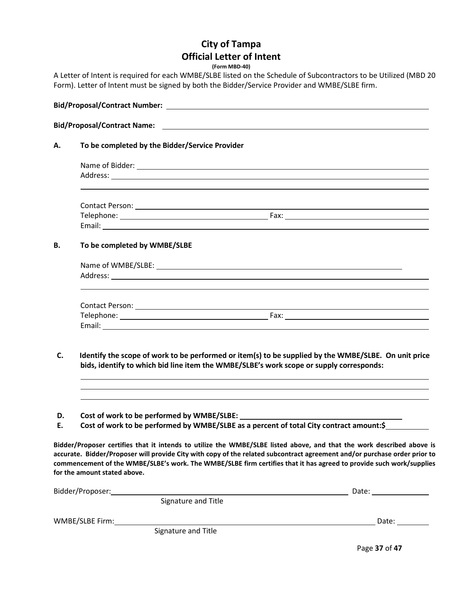## **City of Tampa Official Letter of Intent**

**(Form MBD-40)**

A Letter of Intent is required for each WMBE/SLBE listed on the Schedule of Subcontractors to be Utilized (MBD 20 Form). Letter of Intent must be signed by both the Bidder/Service Provider and WMBE/SLBE firm.

|  | To be completed by WMBE/SLBE |  |  |
|--|------------------------------|--|--|
|  |                              |  |  |
|  |                              |  |  |
|  |                              |  |  |
|  |                              |  |  |
|  |                              |  |  |

- **D. Cost of work to be performed by WMBE/SLBE:**
- **E. Cost of work to be performed by WMBE/SLBE as a percent of total City contract amount:\$**

**Bidder/Proposer certifies that it intends to utilize the WMBE/SLBE listed above, and that the work described above is accurate. Bidder/Proposer will provide City with copy of the related subcontract agreement and/or purchase order prior to commencement of the WMBE/SLBE's work. The WMBE/SLBE firm certifies that it has agreed to provide such work/supplies for the amount stated above.**

| Bidder/Proposer: |                     | Date: |
|------------------|---------------------|-------|
|                  | Signature and Title |       |
| WMBE/SLBE Firm:  |                     | Date: |
|                  | Signature and Title |       |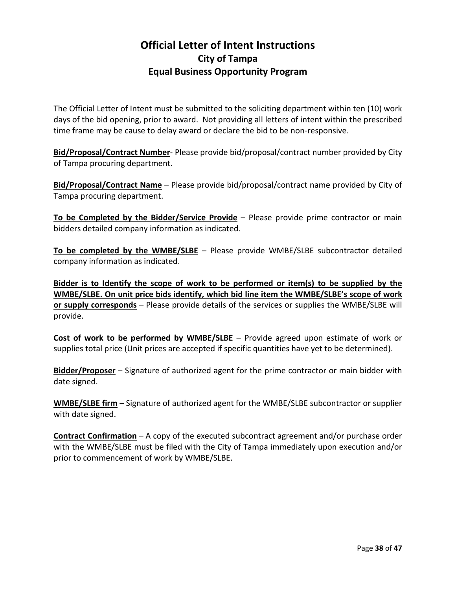## **Official Letter of Intent Instructions City of Tampa Equal Business Opportunity Program**

The Official Letter of Intent must be submitted to the soliciting department within ten (10) work days of the bid opening, prior to award. Not providing all letters of intent within the prescribed time frame may be cause to delay award or declare the bid to be non-responsive.

**Bid/Proposal/Contract Number**- Please provide bid/proposal/contract number provided by City of Tampa procuring department.

**Bid/Proposal/Contract Name** – Please provide bid/proposal/contract name provided by City of Tampa procuring department.

**To be Completed by the Bidder/Service Provide** – Please provide prime contractor or main bidders detailed company information as indicated.

**To be completed by the WMBE/SLBE** – Please provide WMBE/SLBE subcontractor detailed company information as indicated.

**Bidder is to Identify the scope of work to be performed or item(s) to be supplied by the WMBE/SLBE. On unit price bids identify, which bid line item the WMBE/SLBE's scope of work or supply corresponds** – Please provide details of the services or supplies the WMBE/SLBE will provide.

**Cost of work to be performed by WMBE/SLBE** – Provide agreed upon estimate of work or supplies total price (Unit prices are accepted if specific quantities have yet to be determined).

**Bidder/Proposer** – Signature of authorized agent for the prime contractor or main bidder with date signed.

**WMBE/SLBE firm** – Signature of authorized agent for the WMBE/SLBE subcontractor or supplier with date signed.

**Contract Confirmation** – A copy of the executed subcontract agreement and/or purchase order with the WMBE/SLBE must be filed with the City of Tampa immediately upon execution and/or prior to commencement of work by WMBE/SLBE.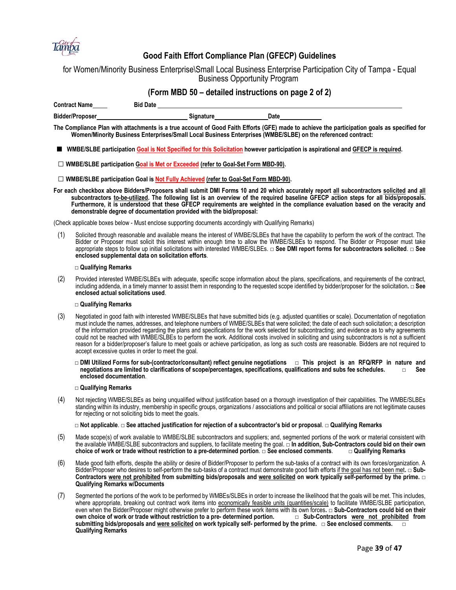

#### **Good Faith Effort Compliance Plan (GFECP) Guidelines**

for Women/Minority Business Enterprise\Small Local Business Enterprise Participation City of Tampa - Equal Business Opportunity Program

|                      | (Form MBD 50 – detailed instructions on page 2 of 2) |           |      |  |
|----------------------|------------------------------------------------------|-----------|------|--|
| <b>Contract Name</b> | <b>Bid Date</b>                                      |           |      |  |
| Bidder/Proposer      |                                                      | Signature | Date |  |

**The Compliance Plan with attachments is a true account of Good Faith Efforts (GFE) made to achieve the participation goals as specified for Women/Minority Business Enterprises/Small Local Business Enterprises (WMBE/SLBE) on the referenced contract:**

■ WMBE/SLBE participation Goal is Not Specified for this Solicitation however participation is aspirational and GFECP is required.

**□ WMBE/SLBE participation Goal is Met or Exceeded (refer to Goal-Set Form MBD-90).**

**□ WMBE/SLBE participation Goal is Not Fully Achieved (refer to Goal-Set Form MBD-90).**

**For each checkbox above Bidders/Proposers shall submit DMI Forms 10 and 20 which accurately report all subcontractors solicited and all subcontractors to-be-utilized. The following list is an overview of the required baseline GFECP action steps for all bids/proposals. Furthermore, it is understood that these GFECP requirements are weighted in the compliance evaluation based on the veracity and demonstrable degree of documentation provided with the bid/proposal:**

(Check applicable boxes below - Must enclose supporting documents accordingly with Qualifying Remarks)

(1) Solicited through reasonable and available means the interest of WMBE/SLBEs that have the capability to perform the work of the contract. The Bidder or Proposer must solicit this interest within enough time to allow the WMBE/SLBEs to respond. The Bidder or Proposer must take appropriate steps to follow up initial solicitations with interested WMBE/SLBEs. **□ See DMI report forms for subcontractors solicited**. **□ See enclosed supplemental data on solicitation efforts**.

#### **□ Qualifying Remarks**

(2) Provided interested WMBE/SLBEs with adequate, specific scope information about the plans, specifications, and requirements of the contract, including addenda, in a timely manner to assist them in responding to the requested scope identified by bidder/proposer for the solicitation**. □ See enclosed actual solicitations used**.

#### **□ Qualifying Remarks**

- (3) Negotiated in good faith with interested WMBE/SLBEs that have submitted bids (e.g. adjusted quantities or scale). Documentation of negotiation must include the names, addresses, and telephone numbers of WMBE/SLBEs that were solicited; the date of each such solicitation; a description of the information provided regarding the plans and specifications for the work selected for subcontracting; and evidence as to why agreements could not be reached with WMBE/SLBEs to perform the work. Additional costs involved in soliciting and using subcontractors is not a sufficient reason for a bidder/proposer's failure to meet goals or achieve participation, as long as such costs are reasonable. Bidders are not required to accept excessive quotes in order to meet the goal.
	- **□ DMI Utilized Forms for sub-(contractor/consultant) reflect genuine negotiations □ This project is an RFQ/RFP in nature and negotiations are limited to clarifications of scope/percentages, specifications, qualifications and subs fee schedules. enclosed documentation**.

#### **□ Qualifying Remarks**

(4) Not rejecting WMBE/SLBEs as being unqualified without justification based on a thorough investigation of their capabilities. The WMBE/SLBEs standing within its industry, membership in specific groups, organizations / associations and political or social affiliations are not legitimate causes for rejecting or not soliciting bids to meet the goals.

**□ Not applicable**. **□ See attached justification for rejection of a subcontractor's bid or proposal**. **□ Qualifying Remarks**

- (5) Made scope(s) of work available to WMBE/SLBE subcontractors and suppliers; and, segmented portions of the work or material consistent with the available WMBE/SLBE subcontractors and suppliers, to facilitate meeting the goal. **□ In addition, Sub-Contractors could bid on their own**  choice of work or trade without restriction to a pre-determined portion. □ See enclosed comments.
- (6) Made good faith efforts, despite the ability or desire of Bidder/Proposer to perform the sub-tasks of a contract with its own forces/organization. A Bidder/Proposer who desires to self-perform the sub-tasks of a contract must demonstrate good faith efforts if the goal has not been met**. □ Sub-Contractors were not prohibited from submitting bids/proposals and were solicited on work typically self-performed by the prime. □ Qualifying Remarks w/Documents**
- (7) Segmented the portions of the work to be performed by WMBEs/SLBEs in order to increase the likelihood that the goals will be met. This includes, where appropriate, breaking out contract work items into economically feasible units (quantities/scale) to facilitate WMBE/SLBE participation, even when the Bidder/Proposer might otherwise prefer to perform these work items with its own forces. □ Sub**-Contractors could bid on their own choice of work or trade without restriction to a pre- determined portion. □ S** *own choice of work or trade without restriction to a pre- determined portion.* **submitting bids/proposals and were solicited on work typically self- performed by the prime. □ See enclosed comments. □ Qualifying Remarks**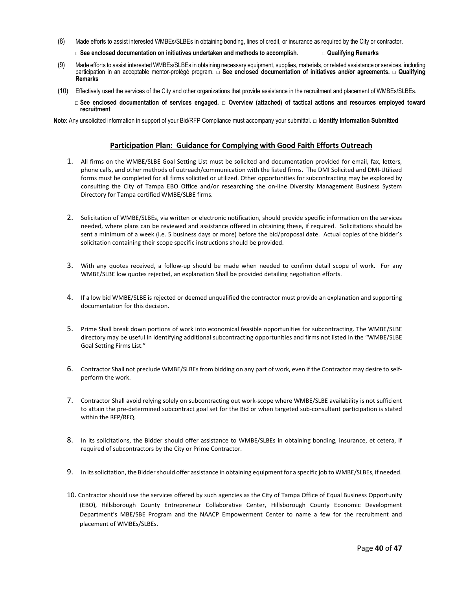(8) Made efforts to assist interested WMBEs/SLBEs in obtaining bonding, lines of credit, or insurance as required by the City or contractor.

**□ See enclosed documentation on initiatives undertaken and methods to accomplish**. **□ Qualifying Remarks**

- (9) Made efforts to assist interested WMBEs/SLBEs in obtaining necessary equipment, supplies, materials, or related assistance or services, including participation in an acceptable mentor-protégé program. □ See enclosed documentation of initiatives and/or agreements. □ Qualifying **Remarks**
- (10) Effectively used the services of the City and other organizations that provide assistance in the recruitment and placement of WMBEs/SLBEs.
	- **□ See enclosed documentation of services engaged. □ Overview (attached) of tactical actions and resources employed toward recruitment**

**Note**: Any unsolicited information in support of your Bid/RFP Compliance must accompany your submittal. **□ Identify Information Submitted**

#### **Participation Plan: Guidance for Complying with Good Faith Efforts Outreach**

- 1. All firms on the WMBE/SLBE Goal Setting List must be solicited and documentation provided for email, fax, letters, phone calls, and other methods of outreach/communication with the listed firms. The DMI Solicited and DMI-Utilized forms must be completed for all firms solicited or utilized. Other opportunities for subcontracting may be explored by consulting the City of Tampa EBO Office and/or researching the on-line Diversity Management Business System Directory for Tampa certified WMBE/SLBE firms.
- 2. Solicitation of WMBE/SLBEs, via written or electronic notification, should provide specific information on the services needed, where plans can be reviewed and assistance offered in obtaining these, if required. Solicitations should be sent a minimum of a week (i.e. 5 business days or more) before the bid/proposal date. Actual copies of the bidder's solicitation containing their scope specific instructions should be provided.
- 3. With any quotes received, a follow-up should be made when needed to confirm detail scope of work. For any WMBE/SLBE low quotes rejected, an explanation Shall be provided detailing negotiation efforts.
- 4. If a low bid WMBE/SLBE is rejected or deemed unqualified the contractor must provide an explanation and supporting documentation for this decision.
- 5. Prime Shall break down portions of work into economical feasible opportunities for subcontracting. The WMBE/SLBE directory may be useful in identifying additional subcontracting opportunities and firms not listed in the "WMBE/SLBE Goal Setting Firms List."
- 6. Contractor Shall not preclude WMBE/SLBEs from bidding on any part of work, even if the Contractor may desire to selfperform the work.
- 7. Contractor Shall avoid relying solely on subcontracting out work-scope where WMBE/SLBE availability is not sufficient to attain the pre-determined subcontract goal set for the Bid or when targeted sub-consultant participation is stated within the RFP/RFQ.
- 8. In its solicitations, the Bidder should offer assistance to WMBE/SLBEs in obtaining bonding, insurance, et cetera, if required of subcontractors by the City or Prime Contractor.
- 9. In its solicitation, the Bidder should offer assistance in obtaining equipment for a specific job to WMBE/SLBEs, if needed.
- 10. Contractor should use the services offered by such agencies as the City of Tampa Office of Equal Business Opportunity (EBO), Hillsborough County Entrepreneur Collaborative Center, Hillsborough County Economic Development Department's MBE/SBE Program and the NAACP Empowerment Center to name a few for the recruitment and placement of WMBEs/SLBEs.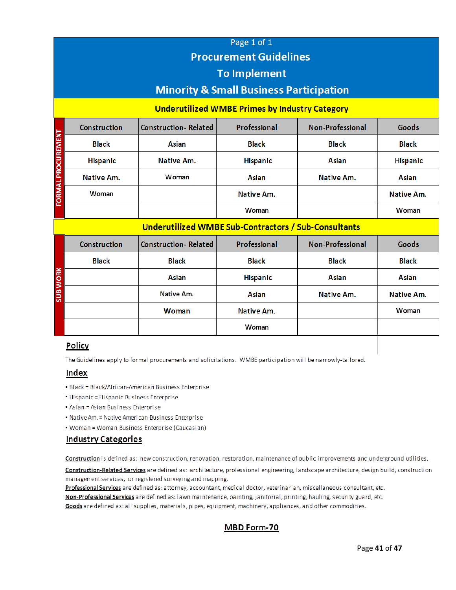## Page 1 of 1 **Procurement Guidelines**

## **To Implement**

## **Minority & Small Business Participation**

#### **Underutilized WMBE Primes by Industry Category**

|                    | <b>Construction</b> | <b>Construction-Related</b> | Professional    | <b>Non-Professional</b> | Goods           |
|--------------------|---------------------|-----------------------------|-----------------|-------------------------|-----------------|
|                    | <b>Black</b>        | <b>Asian</b>                | <b>Black</b>    | <b>Black</b>            | <b>Black</b>    |
|                    | <b>Hispanic</b>     | Native Am.                  | <b>Hispanic</b> | Asian                   | <b>Hispanic</b> |
|                    | Native Am.          | Woman                       | Asian           | Native Am.              | <b>Asian</b>    |
| FORMAL PROCUREMENT | Woman               |                             | Native Am.      |                         | Native Am.      |
|                    |                     |                             | Woman           |                         | Woman           |

#### Underutilized WMBE Sub-Contractors / Sub-Consultants

|                 | <b>Construction</b> | <b>Construction-Related</b> | Professional    | <b>Non-Professional</b> | Goods        |
|-----------------|---------------------|-----------------------------|-----------------|-------------------------|--------------|
|                 | <b>Black</b>        | <b>Black</b>                | <b>Black</b>    | <b>Black</b>            | <b>Black</b> |
|                 |                     | <b>Asian</b>                | <b>Hispanic</b> | <b>Asian</b>            | Asian        |
| <b>SUB WORK</b> |                     | Native Am.                  | Asian           | Native Am.              | Native Am.   |
|                 |                     | Woman                       | Native Am.      |                         | Woman        |
|                 |                     |                             | Woman           |                         |              |

#### Policy

The Guidelines apply to formal procurements and solicitations. WMBE participation will be narrowly-tailored.

#### **Index**

- · Black = Black/African-American Business Enterprise
- . Hispanic = Hispanic Business Enterprise
- Asian = Asian Business Enterprise
- Native Am. = Native American Business Enterprise
- Woman = Woman Business Enterprise (Caucasian)

#### **Industry Categories**

Construction is defined as: new construction, renovation, restoration, maintenance of public improvements and underground utilities.

Construction-Related Services are defined as: architecture, professional engineering, landscape architecture, design build, construction management services, or registered surveying and mapping.

Professional Services are defined as: attorney, accountant, medical doctor, veterinarian, miscellaneous consultant, etc.

Non-Professional Services are defined as: lawn maintenance, painting, janitorial, printing, hauling, security guard, etc.

Goods are defined as: all supplies, materials, pipes, equipment, machinery, appliances, and other commodities.

## MBD Form-70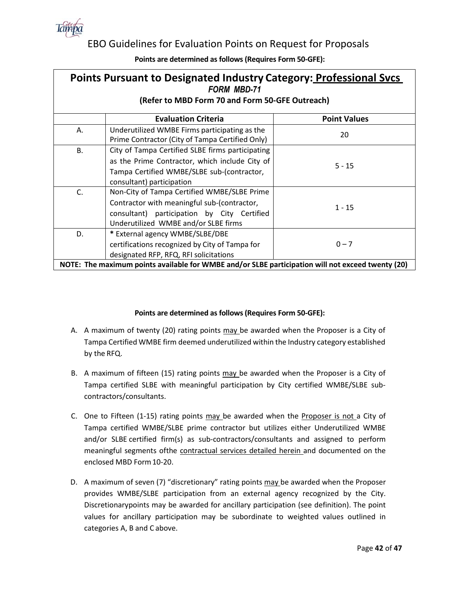

## EBO Guidelines for Evaluation Points on Request for Proposals

| <b>Points Pursuant to Designated Industry Category: Professional Svcs</b><br><b>FORM MBD-71</b>   |                                                                                                                                                                                   |                     |  |  |  |  |
|---------------------------------------------------------------------------------------------------|-----------------------------------------------------------------------------------------------------------------------------------------------------------------------------------|---------------------|--|--|--|--|
| (Refer to MBD Form 70 and Form 50-GFE Outreach)                                                   |                                                                                                                                                                                   |                     |  |  |  |  |
|                                                                                                   | <b>Evaluation Criteria</b>                                                                                                                                                        | <b>Point Values</b> |  |  |  |  |
| А.                                                                                                | Underutilized WMBE Firms participating as the<br>Prime Contractor (City of Tampa Certified Only)                                                                                  | 20                  |  |  |  |  |
| <b>B.</b>                                                                                         | City of Tampa Certified SLBE firms participating<br>as the Prime Contractor, which include City of<br>Tampa Certified WMBE/SLBE sub-(contractor,<br>consultant) participation     | $5 - 15$            |  |  |  |  |
| C.                                                                                                | Non-City of Tampa Certified WMBE/SLBE Prime<br>Contractor with meaningful sub-(contractor,<br>consultant) participation by City Certified<br>Underutilized WMBE and/or SLBE firms | $1 - 15$            |  |  |  |  |
| D.                                                                                                | * External agency WMBE/SLBE/DBE<br>certifications recognized by City of Tampa for<br>designated RFP, RFQ, RFI solicitations                                                       | $0 - 7$             |  |  |  |  |
| NOTE: The maximum points available for WMBE and/or SLBE participation will not exceed twenty (20) |                                                                                                                                                                                   |                     |  |  |  |  |

#### **Points are determined as follows (Requires Form 50-GFE):**

- A. A maximum of twenty (20) rating points may be awarded when the Proposer is a City of Tampa Certified WMBE firm deemed underutilized within the Industry category established by the RFQ.
- B. A maximum of fifteen (15) rating points may be awarded when the Proposer is a City of Tampa certified SLBE with meaningful participation by City certified WMBE/SLBE subcontractors/consultants.
- C. One to Fifteen  $(1-15)$  rating points  $\frac{may}{cd}$  be awarded when the Proposer is not a City of Tampa certified WMBE/SLBE prime contractor but utilizes either Underutilized WMBE and/or SLBE certified firm(s) as sub-contractors/consultants and assigned to perform meaningful segments ofthe contractual services detailed herein and documented on the enclosed MBD Form10-20.
- D. A maximum of seven (7) "discretionary" rating points may be awarded when the Proposer provides WMBE/SLBE participation from an external agency recognized by the City. Discretionarypoints may be awarded for ancillary participation (see definition). The point values for ancillary participation may be subordinate to weighted values outlined in categories A, B and C above.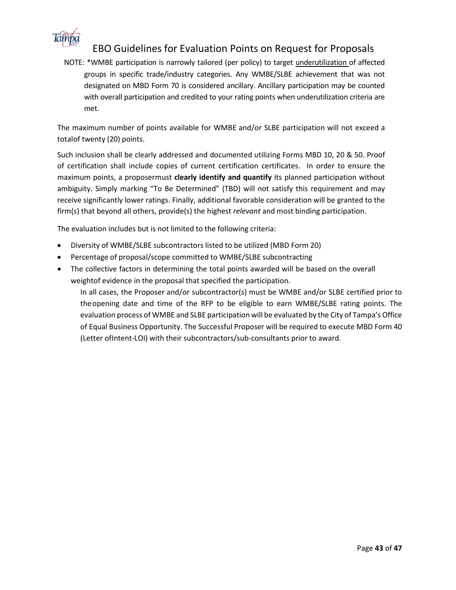

## EBO Guidelines for Evaluation Points on Request for Proposals

NOTE: \*WMBE participation is narrowly tailored (per policy) to target underutilization of affected groups in specific trade/industry categories. Any WMBE/SLBE achievement that was not designated on MBD Form 70 is considered ancillary. Ancillary participation may be counted with overall participation and credited to your rating points when underutilization criteria are met.

The maximum number of points available for WMBE and/or SLBE participation will not exceed a total of twenty (20) points.

Such inclusion shall be clearly addressed and documented utilizing Forms MBD 10, 20 & 50. Proof of certification shall include copies of current certification certificates. In order to ensure the maximum points, a proposermust **clearly identify and quantify** its planned participation without ambiguity. Simply marking "To Be Determined" (TBD) will not satisfy this requirement and may receive significantly lower ratings. Finally, additional favorable consideration will be granted to the firm(s) that beyond all others, provide(s) the highest *relevant* and most binding participation.

The evaluation includes but is not limited to the following criteria:

- Diversity of WMBE/SLBE subcontractors listed to be utilized (MBD Form 20)
- Percentage of proposal/scope committed to WMBE/SLBE subcontracting
- The collective factors in determining the total points awarded will be based on the overall weightof evidence in the proposal that specified the participation.

In all cases, the Proposer and/or subcontractor(s) must be WMBE and/or SLBE certified prior to theopening date and time of the RFP to be eligible to earn WMBE/SLBE rating points. The evaluation process of WMBE and SLBE participation will be evaluated by the City of Tampa's Office of Equal Business Opportunity. The Successful Proposer will be required to execute MBD Form 40 (Letter ofIntent-LOI) with their subcontractors/sub-consultants prior to award.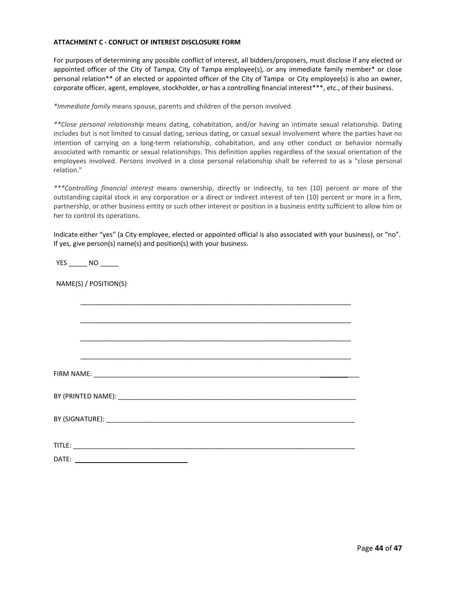#### **ATTACHMENT C - CONFLICT OF INTEREST DISCLOSURE FORM**

For purposes of determining any possible conflict of interest, all bidders/proposers, must disclose if any elected or appointed officer of the City of Tampa, City of Tampa employee(s), or any immediate family member\* or close personal relation\*\* of an elected or appointed officer of the City of Tampa or City employee(s) is also an owner, corporate officer, agent, employee, stockholder, or has a controlling financial interest\*\*\*, etc., of their business.

*\*Immediate family* means spouse, parents and children of the person involved.

*\*\*Close personal relationship* means dating, cohabitation, and/or having an intimate sexual relationship. Dating includes but is not limited to casual dating, serious dating, or casual sexual involvement where the parties have no intention of carrying on a long-term relationship, cohabitation, and any other conduct or behavior normally associated with romantic or sexual relationships. This definition applies regardless of the sexual orientation of the employees involved. Persons involved in a close personal relationship shall be referred to as a "close personal relation."

*\*\*\*Controlling financial interest* means ownership, directly or indirectly, to ten (10) percent or more of the outstanding capital stock in any corporation or a direct or indirect interest of ten (10) percent or more in a firm, partnership, or other business entity or such other interest or position in a business entity sufficient to allow him or her to control its operations.

Indicate either "yes" (a City employee, elected or appointed official is also associated with your business), or "no". If yes, give person(s) name(s) and position(s) with your business.

YES NO

NAME(S) / POSITION(S)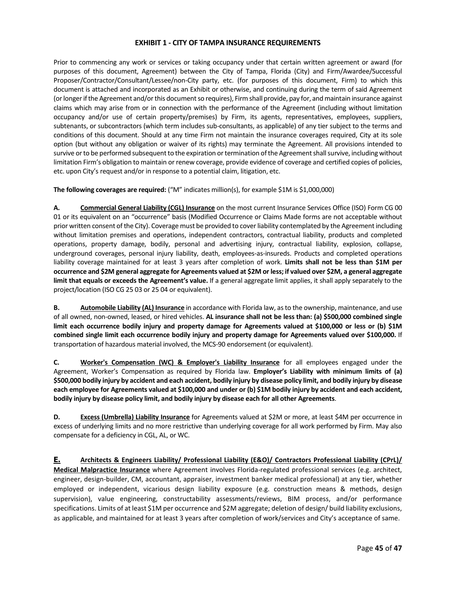#### **EXHIBIT 1 - CITY OF TAMPA INSURANCE REQUIREMENTS**

Prior to commencing any work or services or taking occupancy under that certain written agreement or award (for purposes of this document, Agreement) between the City of Tampa, Florida (City) and Firm/Awardee/Successful Proposer/Contractor/Consultant/Lessee/non-City party, etc. (for purposes of this document, Firm) to which this document is attached and incorporated as an Exhibit or otherwise, and continuing during the term of said Agreement (or longer if the Agreement and/or this document so requires), Firm shall provide, pay for, and maintain insurance against claims which may arise from or in connection with the performance of the Agreement (including without limitation occupancy and/or use of certain property/premises) by Firm, its agents, representatives, employees, suppliers, subtenants, or subcontractors (which term includes sub-consultants, as applicable) of any tier subject to the terms and conditions of this document. Should at any time Firm not maintain the insurance coverages required, City at its sole option (but without any obligation or waiver of its rights) may terminate the Agreement. All provisions intended to survive or to be performed subsequent to the expiration or termination of the Agreement shall survive, including without limitation Firm's obligation to maintain or renew coverage, provide evidence of coverage and certified copies of policies, etc. upon City's request and/or in response to a potential claim, litigation, etc.

**The following coverages are required:** ("M" indicates million(s), for example \$1M is \$1,000,000)

**A. Commercial General Liability (CGL) Insurance** on the most current Insurance Services Office (ISO) Form CG 00 01 or its equivalent on an "occurrence" basis (Modified Occurrence or Claims Made forms are not acceptable without prior written consent of the City). Coverage must be provided to cover liability contemplated by the Agreement including without limitation premises and operations, independent contractors, contractual liability, products and completed operations, property damage, bodily, personal and advertising injury, contractual liability, explosion, collapse, underground coverages, personal injury liability, death, employees-as-insureds. Products and completed operations liability coverage maintained for at least 3 years after completion of work. **Limits shall not be less than \$1M per occurrence and \$2M general aggregate for Agreements valued at \$2M or less; if valued over \$2M, a general aggregate limit that equals or exceeds the Agreement's value.** If a general aggregate limit applies, it shall apply separately to the project/location (ISO CG 25 03 or 25 04 or equivalent).

**B. Automobile Liability (AL) Insurance** in accordance with Florida law, as to the ownership, maintenance, and use of all owned, non-owned, leased, or hired vehicles. **AL insurance shall not be less than: (a) \$500,000 combined single limit each occurrence bodily injury and property damage for Agreements valued at \$100,000 or less or (b) \$1M combined single limit each occurrence bodily injury and property damage for Agreements valued over \$100,000.** If transportation of hazardous material involved, the MCS-90 endorsement (or equivalent).

**C. Worker's Compensation (WC) & Employer's Liability Insurance** for all employees engaged under the Agreement, Worker's Compensation as required by Florida law. **Employer's Liability with minimum limits of (a) \$500,000 bodily injury by accident and each accident, bodily injury by disease policy limit, and bodily injury by disease each employee for Agreements valued at \$100,000 and under or (b) \$1M bodily injury by accident and each accident, bodily injury by disease policy limit, and bodily injury by disease each for all other Agreements**.

**D. Excess (Umbrella) Liability Insurance** for Agreements valued at \$2M or more, at least \$4M per occurrence in excess of underlying limits and no more restrictive than underlying coverage for all work performed by Firm. May also compensate for a deficiency in CGL, AL, or WC.

**E. Architects & Engineers Liability/ Professional Liability (E&O)/ Contractors Professional Liability (CPrL)/ Medical Malpractice Insurance** where Agreement involves Florida-regulated professional services (e.g. architect, engineer, design-builder, CM, accountant, appraiser, investment banker medical professional) at any tier, whether employed or independent, vicarious design liability exposure (e.g. construction means & methods, design supervision), value engineering, constructability assessments/reviews, BIM process, and/or performance specifications. Limits of at least \$1M per occurrence and \$2M aggregate; deletion of design/ build liability exclusions, as applicable, and maintained for at least 3 years after completion of work/services and City's acceptance of same.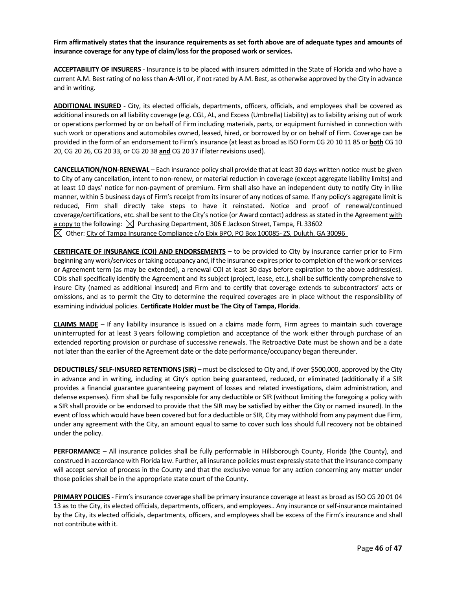**Firm affirmatively states that the insurance requirements as set forth above are of adequate types and amounts of insurance coverage for any type of claim/loss for the proposed work or services.**

**ACCEPTABILITY OF INSURERS** - Insurance is to be placed with insurers admitted in the State of Florida and who have a current A.M. Best rating of no less than **A-:VII** or, if not rated by A.M. Best, as otherwise approved by the City in advance and in writing.

**ADDITIONAL INSURED** - City, its elected officials, departments, officers, officials, and employees shall be covered as additional insureds on all liability coverage (e.g. CGL, AL, and Excess (Umbrella) Liability) as to liability arising out of work or operations performed by or on behalf of Firm including materials, parts, or equipment furnished in connection with such work or operations and automobiles owned, leased, hired, or borrowed by or on behalf of Firm. Coverage can be provided in the form of an endorsement to Firm's insurance (at least as broad as ISO Form CG 20 10 11 85 or **both** CG 10 20, CG 20 26, CG 20 33, or CG 20 38 **and** CG 20 37 if later revisions used).

**CANCELLATION/NON-RENEWAL** – Each insurance policy shall provide that at least 30 days written notice must be given to City of any cancellation, intent to non-renew, or material reduction in coverage (except aggregate liability limits) and at least 10 days' notice for non-payment of premium. Firm shall also have an independent duty to notify City in like manner, within 5 business days of Firm's receipt from its insurer of any notices of same. If any policy's aggregate limit is reduced, Firm shall directly take steps to have it reinstated. Notice and proof of renewal/continued coverage/certifications, etc. shall be sent to the City's notice (or Award contact) address as stated in the Agreement with a copy to the following:  $\boxtimes$  Purchasing Department, 306 E Jackson Street, Tampa, FL 33602  $\boxtimes$  Other: City of Tampa Insurance Compliance c/o Ebix BPO, PO Box 100085- ZS, Duluth, GA 30096

**CERTIFICATE OF INSURANCE (COI) AND ENDORSEMENTS** – to be provided to City by insurance carrier prior to Firm beginning any work/services or taking occupancy and, if the insurance expires prior to completion of the work or services or Agreement term (as may be extended), a renewal COI at least 30 days before expiration to the above address(es). COIs shall specifically identify the Agreement and its subject (project, lease, etc.), shall be sufficiently comprehensive to insure City (named as additional insured) and Firm and to certify that coverage extends to subcontractors' acts or omissions, and as to permit the City to determine the required coverages are in place without the responsibility of examining individual policies. **Certificate Holder must be The City of Tampa, Florida**.

**CLAIMS MADE** – If any liability insurance is issued on a claims made form, Firm agrees to maintain such coverage uninterrupted for at least 3 years following completion and acceptance of the work either through purchase of an extended reporting provision or purchase of successive renewals. The Retroactive Date must be shown and be a date not later than the earlier of the Agreement date or the date performance/occupancy began thereunder.

**DEDUCTIBLES/ SELF-INSURED RETENTIONS (SIR)** – must be disclosed to City and, if over \$500,000, approved by the City in advance and in writing, including at City's option being guaranteed, reduced, or eliminated (additionally if a SIR provides a financial guarantee guaranteeing payment of losses and related investigations, claim administration, and defense expenses). Firm shall be fully responsible for any deductible or SIR (without limiting the foregoing a policy with a SIR shall provide or be endorsed to provide that the SIR may be satisfied by either the City or named insured). In the event of loss which would have been covered but for a deductible or SIR, City may withhold from any payment due Firm, under any agreement with the City, an amount equal to same to cover such loss should full recovery not be obtained under the policy.

**PERFORMANCE** – All insurance policies shall be fully performable in Hillsborough County, Florida (the County), and construed in accordance with Florida law. Further, all insurance policies must expressly state that the insurance company will accept service of process in the County and that the exclusive venue for any action concerning any matter under those policies shall be in the appropriate state court of the County.

**PRIMARY POLICIES** - Firm's insurance coverage shall be primary insurance coverage at least as broad as ISO CG 20 01 04 13 as to the City, its elected officials, departments, officers, and employees.. Any insurance or self-insurance maintained by the City, its elected officials, departments, officers, and employees shall be excess of the Firm's insurance and shall not contribute with it.